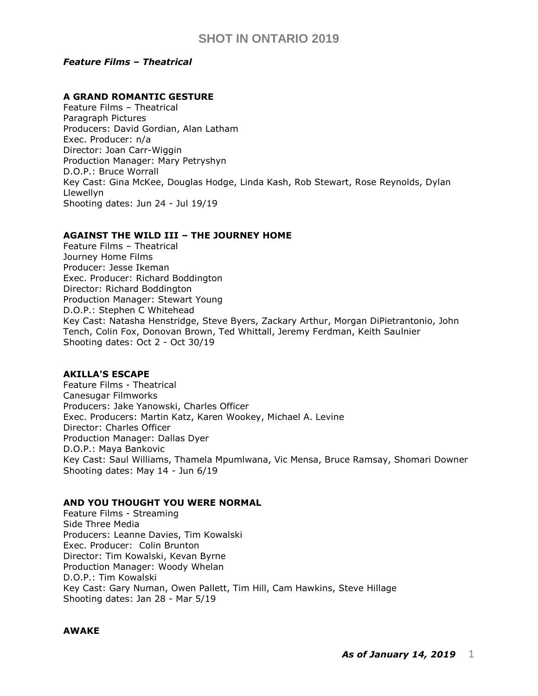## *Feature Films – Theatrical*

## **A GRAND ROMANTIC GESTURE**

Feature Films – Theatrical Paragraph Pictures Producers: David Gordian, Alan Latham Exec. Producer: n/a Director: Joan Carr-Wiggin Production Manager: Mary Petryshyn D.O.P.: Bruce Worrall Key Cast: Gina McKee, Douglas Hodge, Linda Kash, Rob Stewart, Rose Reynolds, Dylan Llewellyn Shooting dates: Jun 24 - Jul 19/19

## **AGAINST THE WILD III – THE JOURNEY HOME**

Feature Films – Theatrical Journey Home Films Producer: Jesse Ikeman Exec. Producer: Richard Boddington Director: Richard Boddington Production Manager: Stewart Young D.O.P.: Stephen C Whitehead Key Cast: Natasha Henstridge, Steve Byers, Zackary Arthur, Morgan DiPietrantonio, John Tench, Colin Fox, Donovan Brown, Ted Whittall, Jeremy Ferdman, Keith Saulnier Shooting dates: Oct 2 - Oct 30/19

## **AKILLA'S ESCAPE**

Feature Films - Theatrical Canesugar Filmworks Producers: Jake Yanowski, Charles Officer Exec. Producers: Martin Katz, Karen Wookey, Michael A. Levine Director: Charles Officer Production Manager: Dallas Dyer D.O.P.: Maya Bankovic Key Cast: Saul Williams, Thamela Mpumlwana, Vic Mensa, Bruce Ramsay, Shomari Downer Shooting dates: May 14 - Jun 6/19

### **AND YOU THOUGHT YOU WERE NORMAL**

Feature Films - Streaming Side Three Media Producers: Leanne Davies, Tim Kowalski Exec. Producer: Colin Brunton Director: Tim Kowalski, Kevan Byrne Production Manager: Woody Whelan D.O.P.: Tim Kowalski Key Cast: Gary Numan, Owen Pallett, Tim Hill, Cam Hawkins, Steve Hillage Shooting dates: Jan 28 - Mar 5/19

### **AWAKE**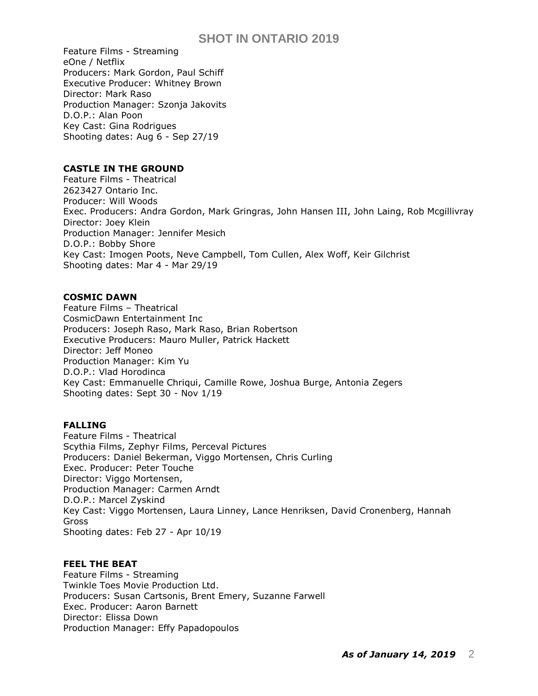Feature Films - Streaming eOne / Netflix Producers: Mark Gordon, Paul Schiff Executive Producer: Whitney Brown Director: Mark Raso Production Manager: Szonja Jakovits D.O.P.: Alan Poon Key Cast: Gina Rodrigues Shooting dates: Aug 6 - Sep 27/19

## **CASTLE IN THE GROUND**

Feature Films - Theatrical 2623427 Ontario Inc. Producer: Will Woods Exec. Producers: Andra Gordon, Mark Gringras, [John Hansen III,](https://pro.imdb.com/name/nm3637518/) John Laing, Rob Mcgillivray Director: Joey Klein Production Manager: Jennifer Mesich D.O.P.: Bobby Shore Key Cast: [Imogen Poots,](https://pro.imdb.com/name/nm1782299/) [Neve Campbell,](https://pro.imdb.com/name/nm0000117/) Tom Cullen, Alex Woff, Keir Gilchrist Shooting dates: Mar 4 - Mar 29/19

## **COSMIC DAWN**

Feature Films – Theatrical CosmicDawn Entertainment Inc Producers: Joseph Raso, Mark Raso, Brian Robertson Executive Producers: Mauro Muller, Patrick Hackett Director: Jeff Moneo Production Manager: Kim Yu D.O.P.: Vlad Horodinca Key Cast: Emmanuelle Chriqui, Camille Rowe, Joshua Burge, Antonia Zegers Shooting dates: Sept 30 - Nov 1/19

## **FALLING**

Feature Films - Theatrical Scythia Films, Zephyr Films, Perceval Pictures Producers: Daniel Bekerman, Viggo Mortensen, Chris Curling Exec. Producer: Peter Touche Director: Viggo Mortensen, Production Manager: Carmen Arndt D.O.P.: Marcel Zyskind Key Cast: Viggo Mortensen, Laura Linney, Lance Henriksen, David Cronenberg, Hannah Gross Shooting dates: Feb 27 - Apr 10/19

## **FEEL THE BEAT**

Feature Films - Streaming Twinkle Toes Movie Production Ltd. Producers: Susan Cartsonis, Brent Emery, Suzanne Farwell Exec. Producer: Aaron Barnett Director: Elissa Down Production Manager: Effy Papadopoulos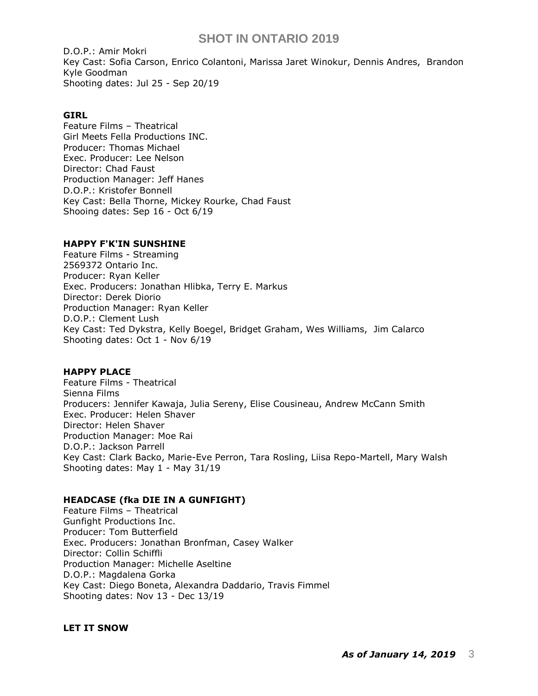D.O.P.: Amir Mokri Key Cast: [Sofia Carson,](https://pro.imdb.com/name/nm6259860/) [Enrico Colantoni,](https://pro.imdb.com/name/nm0170186/) [Marissa Jaret Winokur,](https://pro.imdb.com/name/nm0935441/) [Dennis Andres,](https://pro.imdb.com/name/nm5006946/) [Brandon](https://pro.imdb.com/name/nm5946906/)  [Kyle Goodman](https://pro.imdb.com/name/nm5946906/) Shooting dates: Jul 25 - Sep 20/19

### **GIRL**

Feature Films – Theatrical Girl Meets Fella Productions INC. Producer: Thomas Michael Exec. Producer: Lee Nelson Director: Chad Faust Production Manager: Jeff Hanes D.O.P.: Kristofer Bonnell Key Cast: Bella Thorne, Mickey Rourke, Chad Faust Shooing dates: Sep 16 - Oct 6/19

#### **HAPPY F'K'IN SUNSHINE**

Feature Films - Streaming 2569372 Ontario Inc. Producer: Ryan Keller Exec. Producers: [Jonathan Hlibka,](https://pro.imdb.com/name/nm3321892/) [Terry E. Markus](https://pro.imdb.com/name/nm3194153/) Director: Derek Diorio Production Manager: Ryan Keller D.O.P.: Clement Lush Key Cast: [Ted Dykstra,](https://pro.imdb.com/name/nm0245874/) [Kelly Boegel,](https://pro.imdb.com/name/nm5425465/) [Bridget Graham,](https://pro.imdb.com/name/nm5016485/) [Wes Williams,](https://pro.imdb.com/name/nm0661641/) [Jim Calarco](https://pro.imdb.com/name/nm1410216/) Shooting dates: Oct 1 - Nov 6/19

### **HAPPY PLACE**

Feature Films - Theatrical Sienna Films Producers: Jennifer Kawaja, Julia Sereny, Elise Cousineau, Andrew McCann Smith Exec. Producer: Helen Shaver Director: Helen Shaver Production Manager: Moe Rai D.O.P.: Jackson Parrell Key Cast: Clark Backo, Marie-Eve Perron, Tara Rosling, Liisa Repo-Martell, Mary Walsh Shooting dates: May 1 - May 31/19

### **HEADCASE (fka DIE IN A GUNFIGHT)**

Feature Films – Theatrical Gunfight Productions Inc. Producer: Tom Butterfield Exec. Producers: Jonathan Bronfman, Casey Walker Director: Collin Schiffli Production Manager: Michelle Aseltine D.O.P.: Magdalena Gorka Key Cast: Diego Boneta, Alexandra Daddario, Travis Fimmel Shooting dates: Nov 13 - Dec 13/19

### **LET IT SNOW**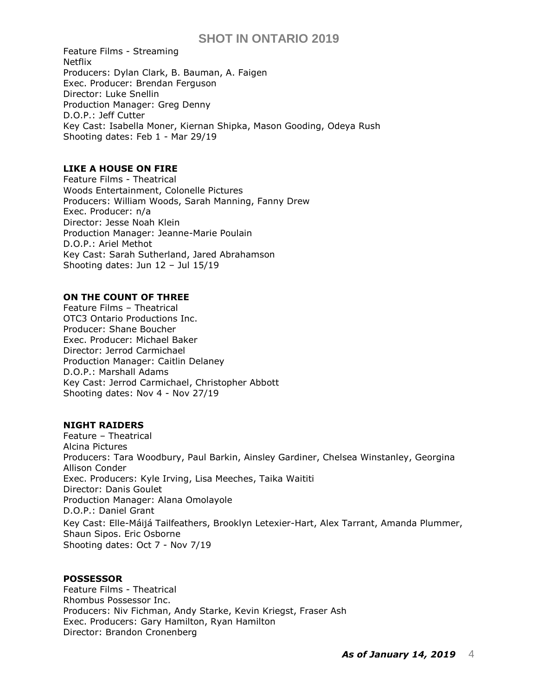Feature Films - Streaming Netflix Producers: Dylan Clark, B. Bauman, A. Faigen Exec. Producer: Brendan Ferguson Director: Luke Snellin Production Manager: Greg Denny D.O.P.: Jeff Cutter Key Cast: Isabella Moner, [Kiernan Shipka,](https://pro.imdb.com/name/nm2215143/) Mason Gooding, [Odeya Rush](https://pro.imdb.com/name/nm3843467/) Shooting dates: Feb 1 - Mar 29/19

## **LIKE A HOUSE ON FIRE**

Feature Films - Theatrical Woods Entertainment, Colonelle Pictures Producers: William Woods, Sarah Manning, Fanny Drew Exec. Producer: n/a Director: Jesse Noah Klein Production Manager: Jeanne-Marie Poulain D.O.P.: Ariel Methot Key Cast: Sarah Sutherland, [Jared Abrahamson](https://pro.imdb.com/name/nm4245462/) Shooting dates: Jun 12 – Jul 15/19

### **ON THE COUNT OF THREE**

Feature Films – Theatrical OTC3 Ontario Productions Inc. Producer: Shane Boucher Exec. Producer: Michael Baker Director: Jerrod Carmichael Production Manager: Caitlin Delaney D.O.P.: Marshall Adams Key Cast: Jerrod Carmichael, Christopher Abbott Shooting dates: Nov 4 - Nov 27/19

### **NIGHT RAIDERS**

Feature – Theatrical Alcina Pictures Producers: Tara Woodbury, Paul Barkin, [Ainsley Gardiner,](https://pro.imdb.com/name/nm1189390/) [Chelsea Winstanley,](https://pro.imdb.com/name/nm4438615/) [Georgina](https://pro.imdb.com/name/nm1673169/)  [Allison Conder](https://pro.imdb.com/name/nm1673169/) Exec. Producers: [Kyle Irving,](https://pro.imdb.com/name/nm1564564/) [Lisa Meeches,](https://pro.imdb.com/name/nm1583205/) [Taika Waititi](https://pro.imdb.com/name/nm0169806/) Director: Danis Goulet Production Manager: Alana Omolayole D.O.P.: Daniel Grant Key Cast: Elle-Máijá Tailfeathers, Brooklyn Letexier-Hart, Alex Tarrant, Amanda Plummer, Shaun Sipos. Eric Osborne Shooting dates: Oct 7 - Nov 7/19

#### **POSSESSOR**

Feature Films - Theatrical Rhombus Possessor Inc. Producers: Niv Fichman, Andy Starke, Kevin Kriegst, Fraser Ash Exec. Producers: Gary Hamilton, Ryan Hamilton Director: Brandon Cronenberg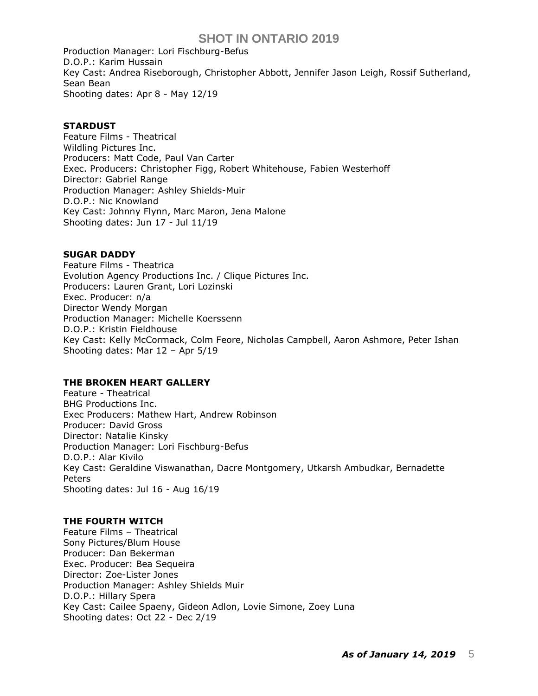Production Manager: Lori Fischburg-Befus D.O.P.: Karim Hussain Key Cast: Andrea Riseborough, Christopher Abbott, Jennifer Jason Leigh, Rossif Sutherland, Sean Bean Shooting dates: Apr 8 - May 12/19

### **STARDUST**

Feature Films - Theatrical Wildling Pictures Inc. Producers: Matt Code, Paul Van Carter Exec. Producers: Christopher Figg, Robert Whitehouse, Fabien Westerhoff Director: Gabriel Range Production Manager: Ashley Shields-Muir D.O.P.: Nic Knowland Key Cast: Johnny Flynn, Marc Maron, Jena Malone Shooting dates: Jun 17 - Jul 11/19

#### **SUGAR DADDY**

Feature Films - Theatrica Evolution Agency Productions Inc. / Clique Pictures Inc. Producers: Lauren Grant, Lori Lozinski Exec. Producer: n/a Director Wendy Morgan Production Manager: Michelle Koerssenn D.O.P.: Kristin Fieldhouse Key Cast: Kelly McCormack, Colm Feore, Nicholas Campbell, Aaron Ashmore, Peter Ishan Shooting dates: Mar 12 – Apr 5/19

### **THE BROKEN HEART GALLERY**

Feature - Theatrical BHG Productions Inc. Exec Producers: Mathew Hart, Andrew Robinson Producer: David Gross Director: Natalie Kinsky Production Manager: Lori Fischburg-Befus D.O.P.: Alar Kivilo Key Cast: Geraldine Viswanathan, Dacre Montgomery, Utkarsh Ambudkar, Bernadette Peters Shooting dates: Jul 16 - Aug 16/19

### **THE FOURTH WITCH**

Feature Films – Theatrical Sony Pictures/Blum House Producer: Dan Bekerman Exec. Producer: Bea Sequeira Director: Zoe-Lister Jones Production Manager: Ashley Shields Muir D.O.P.: Hillary Spera Key Cast: Cailee Spaeny, Gideon Adlon, Lovie Simone, Zoey Luna Shooting dates: Oct 22 - Dec 2/19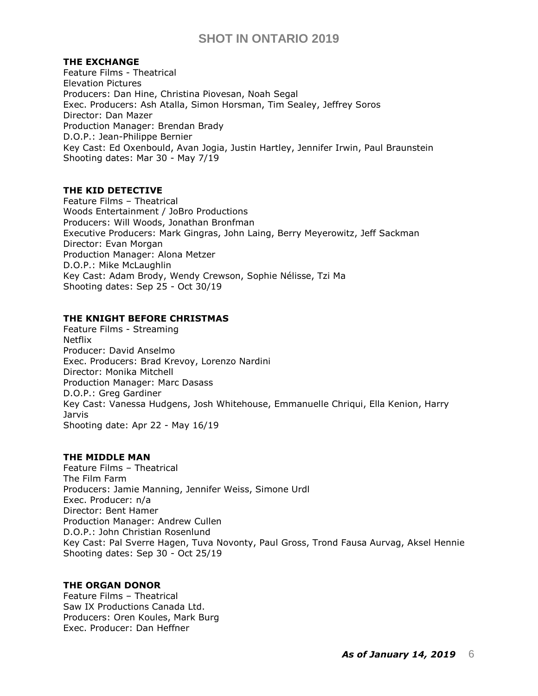## **THE EXCHANGE**

Feature Films - Theatrical Elevation Pictures Producers: Dan Hine, Christina Piovesan, Noah Segal Exec. Producers: [Ash Atalla,](https://pro.imdb.com/name/nm1027876/) [Simon Horsman,](https://pro.imdb.com/name/nm2551041/) [Tim Sealey,](https://pro.imdb.com/name/nm0780552/) [Jeffrey Soros](https://pro.imdb.com/name/nm3078928/) Director: Dan Mazer Production Manager: Brendan Brady D.O.P.: Jean-Philippe Bernier Key Cast: [Ed Oxenbould,](https://pro.imdb.com/name/nm4590837/) Avan Jogia, Justin Hartley, Jennifer Irwin, Paul Braunstein Shooting dates: Mar 30 - May 7/19

## **THE KID DETECTIVE**

Feature Films – Theatrical Woods Entertainment / JoBro Productions Producers: Will Woods, Jonathan Bronfman Executive Producers: Mark Gingras, John Laing, Berry Meyerowitz, Jeff Sackman Director: Evan Morgan Production Manager: Alona Metzer D.O.P.: Mike McLaughlin Key Cast: Adam Brody, Wendy Crewson, [Sophie Nélisse,](https://pro.imdb.com/name/nm4563869/) [Tzi Ma](https://pro.imdb.com/name/nm0002245/) Shooting dates: Sep 25 - Oct 30/19

## **THE KNIGHT BEFORE CHRISTMAS**

Feature Films - Streaming Netflix Producer: David Anselmo Exec. Producers: Brad Krevoy, Lorenzo Nardini Director: Monika Mitchell Production Manager: Marc Dasass D.O.P.: Greg Gardiner Key Cast: [Vanessa Hudgens,](https://pro.imdb.com/name/nm1227814/) [Josh Whitehouse,](https://pro.imdb.com/name/nm3262317/) [Emmanuelle Chriqui,](https://pro.imdb.com/name/nm0004825/) [Ella Kenion,](https://pro.imdb.com/name/nm0447785/) [Harry](https://pro.imdb.com/name/nm5272296/)  [Jarvis](https://pro.imdb.com/name/nm5272296/) Shooting date: Apr 22 - May 16/19

### **THE MIDDLE MAN**

Feature Films – Theatrical The Film Farm Producers: Jamie Manning, Jennifer Weiss, Simone Urdl Exec. Producer: n/a Director: Bent Hamer Production Manager: Andrew Cullen D.O.P.: John Christian Rosenlund Key Cast: Pal Sverre Hagen, Tuva Novonty, Paul Gross, Trond Fausa Aurvag, Aksel Hennie Shooting dates: Sep 30 - Oct 25/19

### **THE ORGAN DONOR**

Feature Films – Theatrical Saw IX Productions Canada Ltd. Producers: Oren Koules, Mark Burg Exec. Producer: Dan Heffner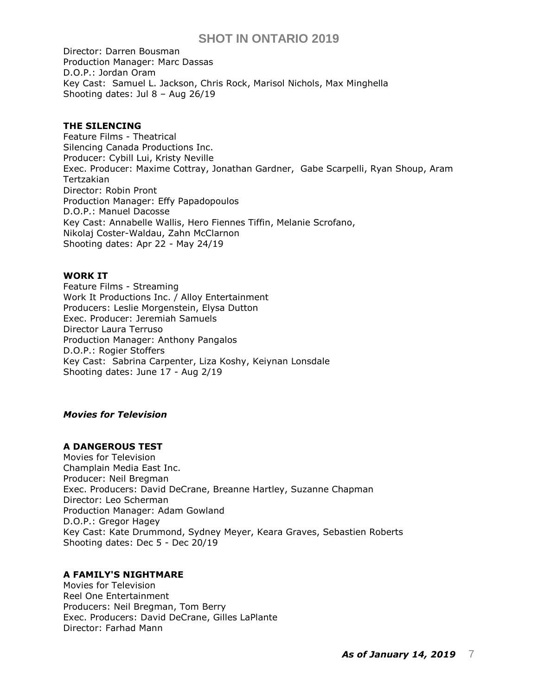Director: Darren Bousman Production Manager: Marc Dassas D.O.P.: Jordan Oram Key Cast: Samuel L. Jackson, Chris Rock, [Marisol Nichols,](https://pro.imdb.com/name/nm0629653/) [Max Minghella](https://pro.imdb.com/name/nm1540404/) Shooting dates: Jul 8 – Aug 26/19

#### **THE SILENCING**

Feature Films - Theatrical Silencing Canada Productions Inc. Producer: Cybill Lui, Kristy Neville Exec. Producer: [Maxime Cottray,](https://pro.imdb.com/name/nm8080197/) [Jonathan Gardner,](https://pro.imdb.com/name/nm2259044/) [Gabe Scarpelli,](https://pro.imdb.com/name/nm2665496/) [Ryan Shoup,](https://pro.imdb.com/name/nm10123323/) [Aram](https://pro.imdb.com/name/nm2727368/)  [Tertzakian](https://pro.imdb.com/name/nm2727368/) Director: Robin Pront Production Manager: Effy Papadopoulos D.O.P.: Manuel Dacosse Key Cast: Annabelle Wallis, [Hero Fiennes Tiffin,](https://pro.imdb.com/name/nm2842005/) [Melanie Scrofano,](https://pro.imdb.com/name/nm1234276/) [Nikolaj Coster-Waldau,](https://pro.imdb.com/name/nm0182666/) [Zahn McClarnon](https://pro.imdb.com/name/nm0565647/) Shooting dates: Apr 22 - May 24/19

### **WORK IT**

Feature Films - Streaming Work It Productions Inc. / Alloy Entertainment Producers: Leslie Morgenstein, Elysa Dutton Exec. Producer: Jeremiah Samuels Director Laura Terruso Production Manager: Anthony Pangalos D.O.P.: Rogier Stoffers Key Cast: Sabrina Carpenter, Liza Koshy, Keiynan Lonsdale Shooting dates: June 17 - Aug 2/19

#### *Movies for Television*

## **A DANGEROUS TEST**

Movies for Television Champlain Media East Inc. Producer: Neil Bregman Exec. Producers: David DeCrane, Breanne Hartley, Suzanne Chapman Director: Leo Scherman Production Manager: Adam Gowland D.O.P.: Gregor Hagey Key Cast: Kate Drummond, Sydney Meyer, Keara Graves, Sebastien Roberts Shooting dates: Dec 5 - Dec 20/19

### **A FAMILY'S NIGHTMARE**

Movies for Television Reel One Entertainment Producers: [Neil Bregman,](https://pro.imdb.com/name/nm0106842/) [Tom Berry](https://pro.imdb.com/name/nm0077686/) Exec. Producers: [David DeCrane,](https://pro.imdb.com/name/nm1362267/) [Gilles LaPlante](https://pro.imdb.com/name/nm0487628/) Director: Farhad Mann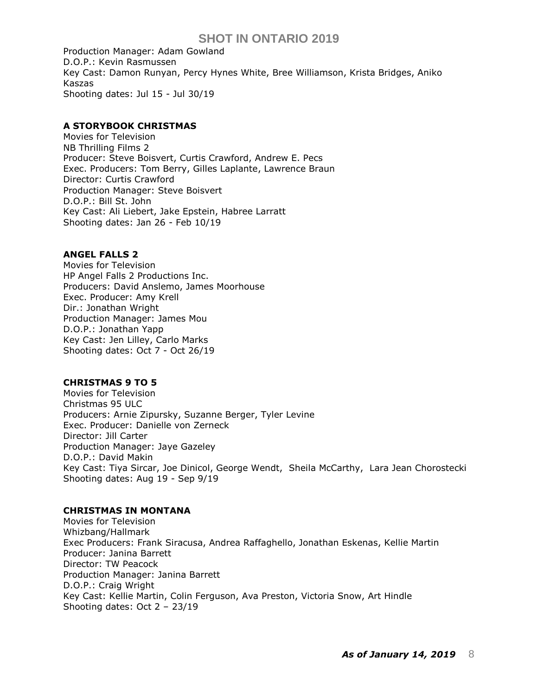Production Manager: Adam Gowland D.O.P.: [Kevin Rasmussen](https://pro.imdb.com/name/nm2035865/) Key Cast: [Damon Runyan,](https://pro.imdb.com/name/nm1575378/) [Percy Hynes White,](https://pro.imdb.com/name/nm4007171/) [Bree Williamson,](https://pro.imdb.com/name/nm1307775/) [Krista Bridges,](https://pro.imdb.com/name/nm0108765/) [Aniko](https://pro.imdb.com/name/nm3398072/)  [Kaszas](https://pro.imdb.com/name/nm3398072/) Shooting dates: Jul 15 - Jul 30/19

## **A STORYBOOK CHRISTMAS**

Movies for Television NB Thrilling Films 2 Producer: [Steve Boisvert,](https://pro.imdb.com/name/nm2656168/) Curtis Crawford, [Andrew E. Pecs](https://pro.imdb.com/name/nm0669810/) Exec. Producers: Tom Berry, Gilles Laplante, Lawrence Braun Director: Curtis Crawford Production Manager: Steve Boisvert D.O.P.: Bill St. John Key Cast: Ali Liebert, Jake Epstein, Habree Larratt Shooting dates: Jan 26 - Feb 10/19

### **ANGEL FALLS 2**

Movies for Television HP Angel Falls 2 Productions Inc. Producers: David Anslemo, James Moorhouse Exec. Producer: Amy Krell Dir.: Jonathan Wright Production Manager: James Mou D.O.P.: Jonathan Yapp Key Cast: Jen Lilley, Carlo Marks Shooting dates: Oct 7 - Oct 26/19

## **CHRISTMAS 9 TO 5**

Movies for Television Christmas 95 ULC Producers: Arnie Zipursky, Suzanne Berger, Tyler Levine Exec. Producer: Danielle von Zerneck Director: Jill Carter Production Manager: Jaye Gazeley D.O.P.: David Makin Key Cast: [Tiya Sircar,](https://pro.imdb.com/name/nm1587188/) [Joe Dinicol,](https://pro.imdb.com/name/nm0227710/) [George Wendt,](https://pro.imdb.com/name/nm0001841/) [Sheila McCarthy,](https://pro.imdb.com/name/nm0565319/) [Lara Jean Chorostecki](https://pro.imdb.com/name/nm1892299/) Shooting dates: Aug 19 - Sep 9/19

### **CHRISTMAS IN MONTANA**

Movies for Television Whizbang/Hallmark Exec Producers: Frank Siracusa, Andrea Raffaghello, Jonathan Eskenas, Kellie Martin Producer: Janina Barrett Director: TW Peacock Production Manager: Janina Barrett D.O.P.: Craig Wright Key Cast: Kellie Martin, Colin Ferguson, Ava Preston, Victoria Snow, Art Hindle Shooting dates: Oct 2 – 23/19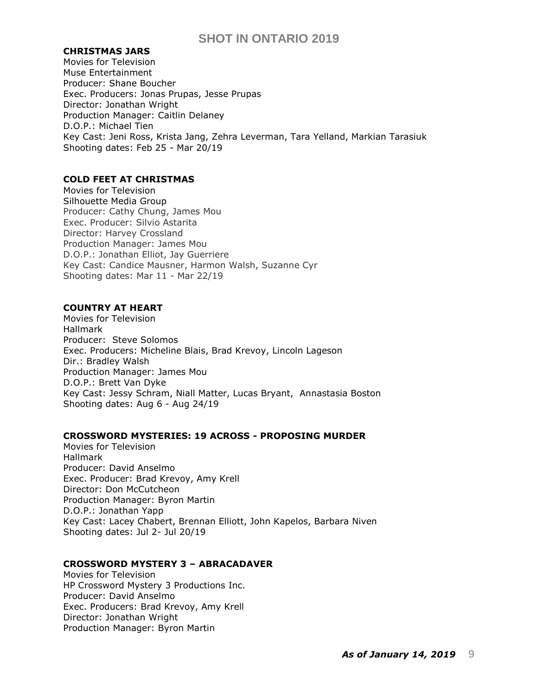#### **CHRISTMAS JARS**

Movies for Television Muse Entertainment Producer: Shane Boucher Exec. Producers: Jonas Prupas, Jesse Prupas Director: Jonathan Wright Production Manager: Caitlin Delaney D.O.P.: Michael Tien Key Cast: [Jeni Ross,](https://pro.imdb.com/name/nm5037746/) Krista Jang, Zehra Leverman, Tara Yelland, Markian Tarasiuk Shooting dates: Feb 25 - Mar 20/19

## **COLD FEET AT CHRISTMAS**

Movies for Television Silhouette Media Group Producer: Cathy Chung, James Mou Exec. Producer: Silvio Astarita Director: Harvey Crossland Production Manager: James Mou D.O.P.: Jonathan Elliot, Jay Guerriere Key Cast: [Candice Mausner,](https://pro.imdb.com/name/nm2417218/) Harmon Walsh, Suzanne Cyr Shooting dates: Mar 11 - Mar 22/19

### **COUNTRY AT HEART**

Movies for Television Hallmark Producer: [Steve Solomos](https://pro.imdb.com/name/nm0813448/) Exec. Producers: [Micheline Blais,](https://pro.imdb.com/name/nm0086406/) [Brad Krevoy,](https://pro.imdb.com/name/nm0471097/) [Lincoln Lageson](https://pro.imdb.com/name/nm0481276/) Dir.: Bradley Walsh Production Manager: James Mou D.O.P.: [Brett Van Dyke](https://pro.imdb.com/name/nm0886721/) Key Cast: [Jessy Schram,](https://pro.imdb.com/name/nm1789336/) [Niall Matter,](https://pro.imdb.com/name/nm2473076/) [Lucas Bryant,](https://pro.imdb.com/name/nm1674903/) [Annastasia Boston](https://pro.imdb.com/name/nm10545320/) Shooting dates: Aug 6 - Aug 24/19

## **CROSSWORD MYSTERIES: 19 ACROSS - PROPOSING MURDER**

Movies for Television Hallmark Producer: David Anselmo Exec. Producer: Brad Krevoy, Amy Krell Director: Don McCutcheon Production Manager: Byron Martin D.O.P.: Jonathan Yapp Key Cast: Lacey Chabert, Brennan Elliott, John Kapelos, Barbara Niven Shooting dates: Jul 2- Jul 20/19

### **CROSSWORD MYSTERY 3 – ABRACADAVER**

Movies for Television HP Crossword Mystery 3 Productions Inc. Producer: David Anselmo Exec. Producers: Brad Krevoy, Amy Krell Director: Jonathan Wright Production Manager: Byron Martin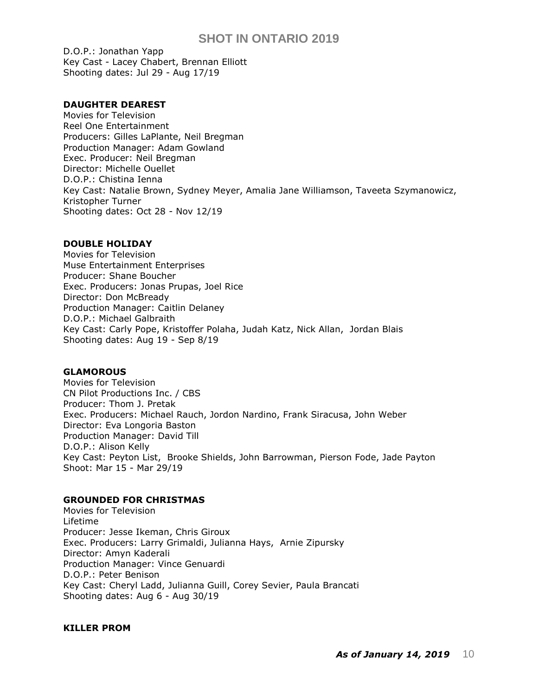D.O.P.: Jonathan Yapp Key Cast - Lacey Chabert, Brennan Elliott Shooting dates: Jul 29 - Aug 17/19

## **DAUGHTER DEAREST**

Movies for Television Reel One Entertainment Producers: Gilles LaPlante, Neil Bregman Production Manager: Adam Gowland Exec. Producer: Neil Bregman Director: Michelle Ouellet D.O.P.: Chistina Ienna Key Cast: Natalie Brown, Sydney Meyer, Amalia Jane Williamson, Taveeta Szymanowicz, Kristopher Turner Shooting dates: Oct 28 - Nov 12/19

## **DOUBLE HOLIDAY**

Movies for Television [Muse Entertainment Enterprises](https://pro.imdb.com/company/co0005803/?ref_=tt_co_prod_co) Producer: Shane Boucher Exec. Producers: Jonas Prupas, Joel Rice Director: Don McBready Production Manager: Caitlin Delaney D.O.P.: Michael Galbraith Key Cast: [Carly Pope,](https://pro.imdb.com/name/nm0005318/) [Kristoffer Polaha,](https://pro.imdb.com/name/nm1119340/) [Judah Katz,](https://pro.imdb.com/name/nm0441754/) [Nick Allan,](https://pro.imdb.com/name/nm0019994/) [Jordan Blais](https://pro.imdb.com/name/nm10074649/) Shooting dates: Aug 19 - Sep 8/19

## **GLAMOROUS**

Movies for Television CN Pilot Productions Inc. / CBS Producer: Thom J. Pretak Exec. Producers: Michael Rauch, Jordon Nardino, Frank Siracusa, John Weber Director: Eva Longoria Baston Production Manager: David Till D.O.P.: Alison Kelly Key Cast: [Peyton List,](https://pro.imdb.com/name/nm2572554/) [Brooke Shields,](https://pro.imdb.com/name/nm0000222/) [John Barrowman,](https://pro.imdb.com/name/nm0057882/) [Pierson Fode,](https://pro.imdb.com/name/nm4943457/) [Jade Payton](https://pro.imdb.com/name/nm9070920/) Shoot: Mar 15 - Mar 29/19

## **GROUNDED FOR CHRISTMAS**

Movies for Television Lifetime Producer: Jesse Ikeman, Chris Giroux Exec. Producers: [Larry Grimaldi,](https://pro.imdb.com/name/nm0342124/) [Julianna Hays,](https://pro.imdb.com/name/nm3057670/) [Arnie Zipursky](https://pro.imdb.com/name/nm0957160/) Director: Amyn Kaderali Production Manager: Vince Genuardi D.O.P.: Peter Benison Key Cast: Cheryl Ladd, [Julianna Guill,](https://pro.imdb.com/name/nm1566474/) Corey Sevier, [Paula Brancati](https://pro.imdb.com/name/nm1273957/) Shooting dates: Aug 6 - Aug 30/19

### **KILLER PROM**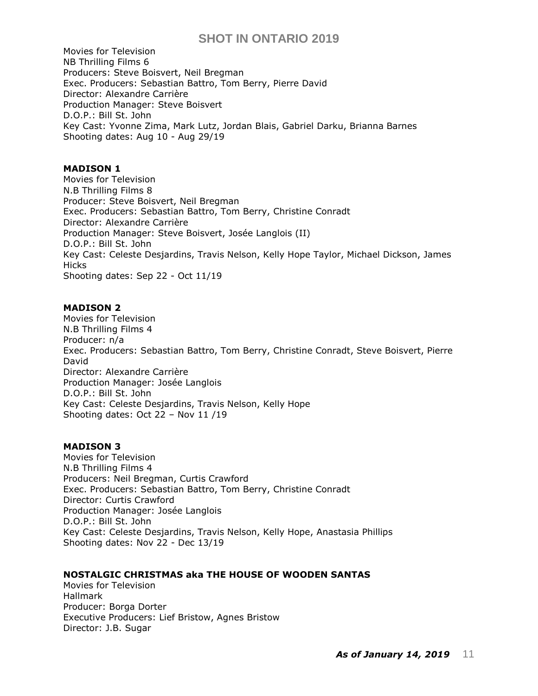Movies for Television [NB Thrilling Films 6](https://pro.imdb.com/company/co0533604/?ref_=tt_co_prod_co) Producers: [Steve Boisvert,](https://pro.imdb.com/name/nm2656168/) [Neil Bregman](https://pro.imdb.com/name/nm0106842/) Exec. Producers: [Sebastian Battro,](https://pro.imdb.com/name/nm3537662/) Tom Berry, Pierre David Director: [Alexandre Carrière](https://pro.imdb.com/name/nm3708936/) Production Manager: Steve Boisvert D.O.P.: [Bill St. John](https://pro.imdb.com/name/nm0820616/) Key Cast: [Yvonne Zima,](https://pro.imdb.com/name/nm0956531/) [Mark Lutz, J](https://pro.imdb.com/name/nm0527592/)ordan Blais, [Gabriel Darku,](https://pro.imdb.com/name/nm7523016/) [Brianna Barnes](https://pro.imdb.com/name/nm3034348/) Shooting dates: Aug 10 - Aug 29/19

## **MADISON 1**

Movies for Television [N.B Thrilling Films 8](https://pro.imdb.com/company/co0620598/?ref_=tt_cc_nm_1) Producer: Steve Boisvert, [Neil Bregman](https://pro.imdb.com/name/nm0106842/) Exec. Producers: [Sebastian Battro,](https://pro.imdb.com/name/nm3537662/) Tom Berry, [Christine Conradt](https://pro.imdb.com/name/nm0175768/) Director: [Alexandre Carrière](https://pro.imdb.com/name/nm3708936/) Production Manager: Steve Boisvert, [Josée Langlois \(II\)](https://pro.imdb.com/name/nm8960963/) D.O.P.: [Bill St. John](https://pro.imdb.com/name/nm0820616/) Key Cast: Celeste Desjardins, Travis Nelson, Kelly Hope Taylor, Michael Dickson, James **Hicks** Shooting dates: Sep 22 - Oct 11/19

#### **MADISON 2**

Movies for Television [N.B Thrilling Films 4](https://pro.imdb.com/company/co0620598/?ref_=tt_cc_nm_1) Producer: n/a Exec. Producers: [Sebastian Battro,](https://pro.imdb.com/name/nm3537662/) Tom Berry, [Christine Conradt,](https://pro.imdb.com/name/nm0175768/) Steve Boisvert, Pierre David Director: [Alexandre Carrière](https://pro.imdb.com/name/nm3708936/) Production Manager: [Josée Langlois](https://pro.imdb.com/name/nm8960963/) D.O.P.: [Bill St. John](https://pro.imdb.com/name/nm0820616/) Key Cast: Celeste Desjardins, Travis Nelson, Kelly Hope Shooting dates: Oct 22 – Nov 11 /19

## **MADISON 3**

Movies for Television [N.B Thrilling Films 4](https://pro.imdb.com/company/co0620598/?ref_=tt_cc_nm_1) Producers: Neil Bregman, Curtis Crawford Exec. Producers: [Sebastian Battro,](https://pro.imdb.com/name/nm3537662/) Tom Berry, [Christine Conradt](https://pro.imdb.com/name/nm0175768/) Director: Curtis Crawford Production Manager: [Josée Langlois](https://pro.imdb.com/name/nm8960963/) D.O.P.: [Bill St. John](https://pro.imdb.com/name/nm0820616/) Key Cast: Celeste Desjardins, Travis Nelson, Kelly Hope, [Anastasia Phillips](https://pro.imdb.com/name/nm2107127/) Shooting dates: Nov 22 - Dec 13/19

#### **NOSTALGIC CHRISTMAS aka THE HOUSE OF WOODEN SANTAS**

Movies for Television Hallmark Producer: Borga Dorter Executive Producers: Lief Bristow, Agnes Bristow Director: J.B. Sugar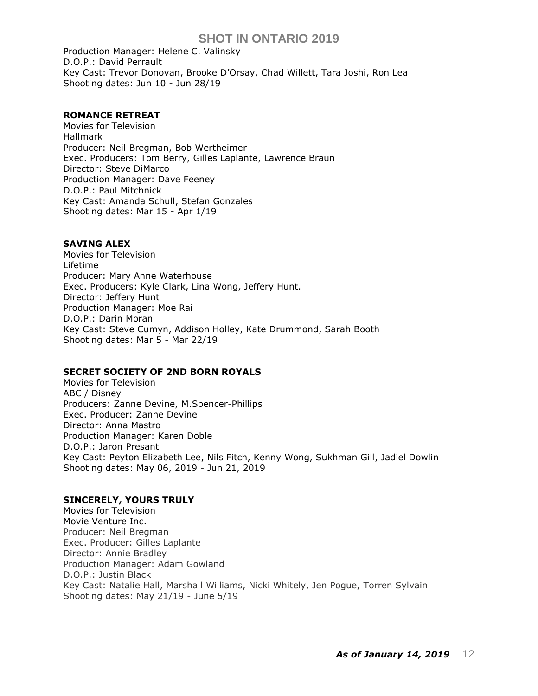Production Manager: Helene C. Valinsky D.O.P.: David Perrault Key Cast: Trevor Donovan, Brooke D'Orsay, Chad Willett, Tara Joshi, Ron Lea Shooting dates: Jun 10 - Jun 28/19

### **ROMANCE RETREAT**

Movies for Television Hallmark Producer: Neil Bregman, Bob Wertheimer Exec. Producers: Tom Berry, Gilles Laplante, Lawrence Braun Director: Steve DiMarco Production Manager: Dave Feeney D.O.P.: Paul Mitchnick Key Cast: Amanda Schull, Stefan Gonzales Shooting dates: Mar 15 - Apr 1/19

#### **SAVING ALEX**

Movies for Television Lifetime Producer: Mary Anne Waterhouse Exec. Producers: Kyle Clark, Lina Wong, Jeffery Hunt. Director: Jeffery Hunt Production Manager: Moe Rai D.O.P.: Darin Moran Key Cast: Steve Cumyn, Addison Holley, Kate Drummond, Sarah Booth Shooting dates: Mar 5 - Mar 22/19

### **SECRET SOCIETY OF 2ND BORN ROYALS**

Movies for Television ABC / Disney Producers: Zanne Devine, M.Spencer-Phillips Exec. Producer: Zanne Devine Director: Anna Mastro Production Manager: Karen Doble D.O.P.: Jaron Presant Key Cast: Peyton Elizabeth Lee, Nils Fitch, Kenny Wong, Sukhman Gill, [Jadiel Dowlin](https://pro.imdb.com/name/nm6636855/) Shooting dates: May 06, 2019 - Jun 21, 2019

### **SINCERELY, YOURS TRULY**

Movies for Television [Movie Venture Inc.](https://pro.imdb.com/company/co0095442/?ref_=tt_co_prod_co) Producer: Neil Bregman Exec. Producer: Gilles Laplante Director: Annie Bradley Production Manager: Adam Gowland D.O.P.: Justin Black Key Cast: Natalie Hall, Marshall Williams, Nicki Whitely, Jen Pogue, [Torren Sylvain](https://pro.imdb.com/name/nm4809005/) Shooting dates: May 21/19 - June 5/19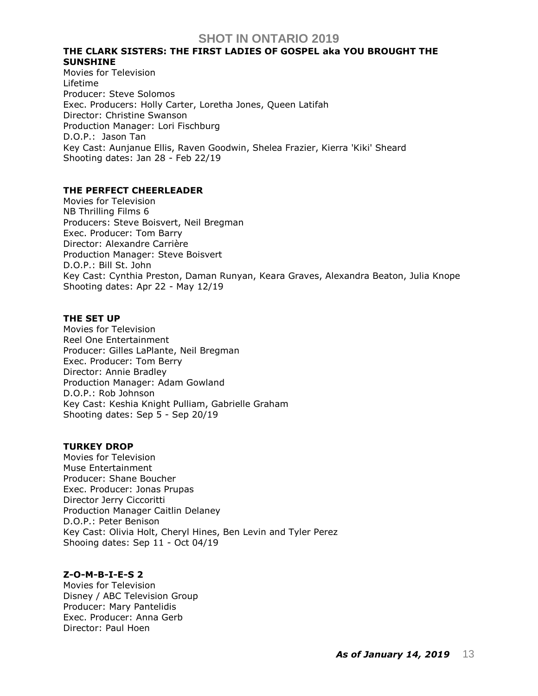## **THE CLARK SISTERS: THE FIRST LADIES OF GOSPEL aka YOU BROUGHT THE SUNSHINE**

Movies for Television Lifetime Producer: Steve Solomos Exec. Producers: Holly Carter, Loretha Jones, [Queen Latifah](https://pro.imdb.com/name/nm0001451/) Director: Christine Swanson Production Manager: Lori Fischburg D.O.P.: Jason Tan Key Cast: Aunjanue Ellis, Raven Goodwin, Shelea Frazier, Kierra 'Kiki' Sheard Shooting dates: Jan 28 - Feb 22/19

## **THE PERFECT CHEERLEADER**

Movies for Television [NB Thrilling Films 6](https://pro.imdb.com/company/co0533604/?ref_=tt_co_prod_co) Producers: Steve Boisvert, Neil Bregman Exec. Producer: Tom Barry Director: Alexandre Carrière Production Manager: Steve Boisvert D.O.P.: Bill St. John Key Cast: Cynthia Preston, Daman Runyan, Keara Graves, Alexandra Beaton, Julia Knope Shooting dates: Apr 22 - May 12/19

### **THE SET UP**

Movies for Television Reel One Entertainment Producer: Gilles LaPlante, Neil Bregman Exec. Producer: Tom Berry Director: Annie Bradley Production Manager: Adam Gowland D.O.P.: Rob Johnson Key Cast: Keshia Knight Pulliam, Gabrielle Graham Shooting dates: Sep 5 - Sep 20/19

### **TURKEY DROP**

Movies for Television Muse Entertainment Producer: Shane Boucher Exec. Producer: Jonas Prupas Director Jerry Ciccoritti Production Manager Caitlin Delaney D.O.P.: Peter Benison Key Cast: Olivia Holt, Cheryl Hines, Ben Levin and Tyler Perez Shooing dates: Sep 11 - Oct 04/19

## **Z-O-M-B-I-E-S 2**

Movies for Television Disney / ABC Television Group Producer: Mary Pantelidis Exec. Producer: Anna Gerb Director: Paul Hoen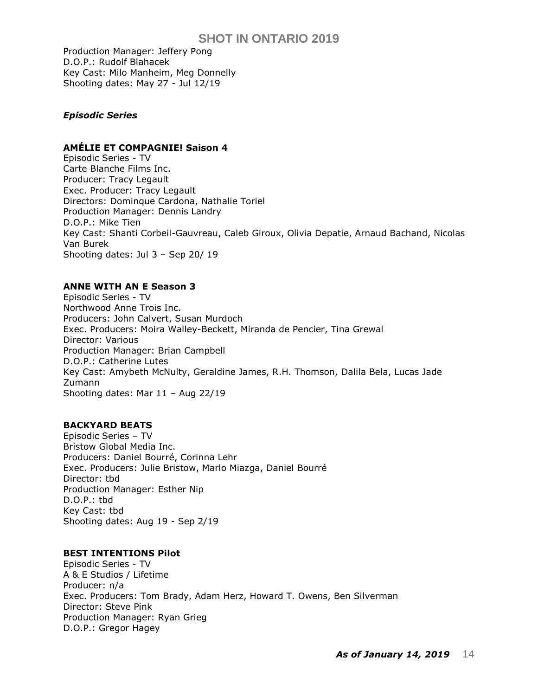Production Manager: Jeffery Pong D.O.P.: Rudolf Blahacek Key Cast: Milo Manheim, Meg Donnelly Shooting dates: May 27 - Jul 12/19

## *Episodic Series*

## **AMÉLIE ET COMPAGNIE! Saison 4**

Episodic Series - TV Carte Blanche Films Inc. Producer: Tracy Legault Exec. Producer: Tracy Legault Directors: Dominque Cardona, Nathalie Toriel Production Manager: Dennis Landry D.O.P.: Mike Tien Key Cast: Shanti Corbeil-Gauvreau, Caleb Giroux, Olivia Depatie, Arnaud Bachand, Nicolas Van Burek Shooting dates: Jul 3 – Sep 20/ 19

## **ANNE WITH AN E Season 3**

Episodic Series - TV Northwood Anne Trois Inc. Producers: John Calvert, Susan Murdoch Exec. Producers: Moira Walley-Beckett, Miranda de Pencier, Tina Grewal Director: Various Production Manager: Brian Campbell D.O.P.: Catherine Lutes Key Cast: [Amybeth McNulty,](https://pro.imdb.com/name/nm6741374/) Geraldine James, R.H. Thomson, [Dalila Bela,](https://pro.imdb.com/name/nm3629668/) [Lucas Jade](https://pro.imdb.com/name/nm6722749/)  [Zumann](https://pro.imdb.com/name/nm6722749/) Shooting dates: Mar 11 – Aug 22/19

## **BACKYARD BEATS**

Episodic Series – TV Bristow Global Media Inc. Producers: Daniel Bourré, Corinna Lehr Exec. Producers: Julie Bristow, Marlo Miazga, Daniel Bourré Director: tbd Production Manager: Esther Nip D.O.P.: tbd Key Cast: tbd Shooting dates: Aug 19 - Sep 2/19

### **BEST INTENTIONS Pilot**

Episodic Series - TV A & E Studios / Lifetime Producer: n/a Exec. Producers: Tom Brady, Adam Herz, Howard T. Owens, Ben Silverman Director: Steve Pink Production Manager: Ryan Grieg D.O.P.: Gregor Hagey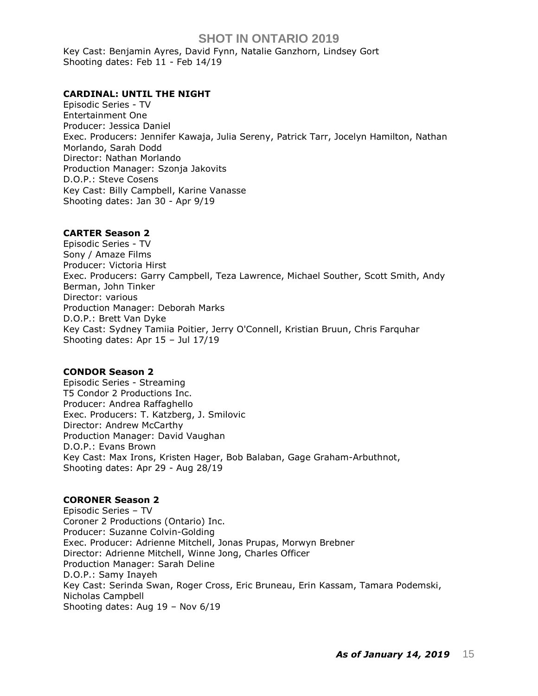Key Cast: [Benjamin Ayres,](https://pro.imdb.com/name/nm1534707/) David Fynn, Natalie Ganzhorn, Lindsey Gort Shooting dates: Feb 11 - Feb 14/19

### **CARDINAL: UNTIL THE NIGHT**

Episodic Series - TV Entertainment One Producer: Jessica Daniel Exec. Producers: Jennifer Kawaja, Julia Sereny, Patrick Tarr, Jocelyn Hamilton, Nathan Morlando, Sarah Dodd Director: Nathan Morlando Production Manager: Szonja Jakovits D.O.P.: Steve Cosens Key Cast: Billy Campbell, Karine Vanasse Shooting dates: Jan 30 - Apr 9/19

#### **CARTER Season 2**

Episodic Series - TV Sony / Amaze Films Producer: Victoria Hirst Exec. Producers: [Garry Campbell,](https://pro.imdb.com/name/nm0975297/) [Teza Lawrence,](https://pro.imdb.com/name/nm1107248/) [Michael Souther,](https://pro.imdb.com/name/nm1107392/) [Scott Smith,](https://pro.imdb.com/name/nm0002433/) [Andy](https://pro.imdb.com/name/nm0002433/)  [Berman,](https://pro.imdb.com/name/nm0002433/) [John Tinker](https://pro.imdb.com/name/nm0863988/) Director: various Production Manager: Deborah Marks D.O.P.: Brett Van Dyke Key Cast: [Sydney Tamiia Poitier,](https://pro.imdb.com/name/nm0688624/) [Jerry O'Connell,](https://pro.imdb.com/name/nm0005278/) [Kristian Bruun,](https://pro.imdb.com/name/nm2106870/) [Chris Farquhar](https://pro.imdb.com/name/nm1599848/) Shooting dates: Apr 15 – Jul 17/19

### **CONDOR Season 2**

Episodic Series - Streaming T5 Condor 2 Productions Inc. Producer: Andrea Raffaghello Exec. Producers: T. Katzberg, J. Smilovic Director: Andrew McCarthy Production Manager: David Vaughan D.O.P.: Evans Brown Key Cast: Max Irons, [Kristen Hager,](https://pro.imdb.com/name/nm1982266/) [Bob Balaban,](https://pro.imdb.com/name/nm0000837/) [Gage Graham-Arbuthnot,](https://pro.imdb.com/name/nm8934157/) Shooting dates: Apr 29 - Aug 28/19

#### **CORONER Season 2**

Episodic Series – TV Coroner 2 Productions (Ontario) Inc. Producer: Suzanne Colvin-Golding Exec. Producer: Adrienne Mitchell, Jonas Prupas, Morwyn Brebner Director: Adrienne Mitchell, Winne Jong, Charles Officer Production Manager: Sarah Deline D.O.P.: Samy Inayeh Key Cast: Serinda Swan, Roger Cross, Eric Bruneau, Erin Kassam, Tamara Podemski, Nicholas Campbell Shooting dates: Aug 19 – Nov 6/19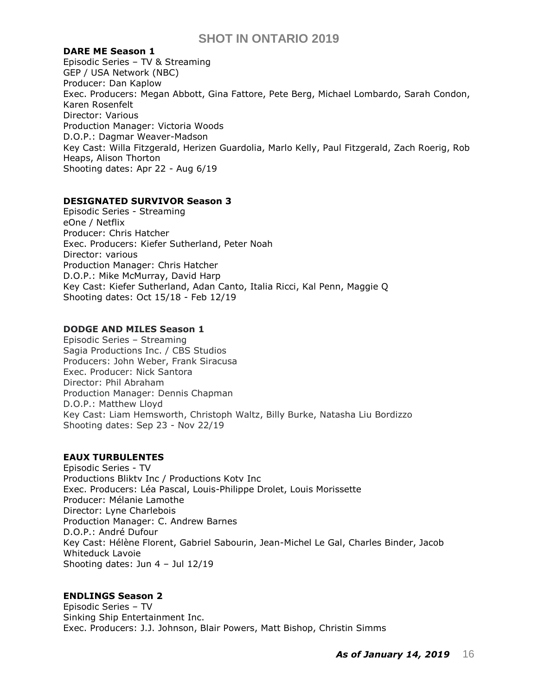### **DARE ME Season 1**

Episodic Series – TV & Streaming GEP / USA Network (NBC) Producer: Dan Kaplow Exec. Producers: Megan Abbott, Gina Fattore, Pete Berg, Michael Lombardo, Sarah Condon, Karen Rosenfelt Director: Various Production Manager: Victoria Woods D.O.P.: Dagmar Weaver-Madson Key Cast: Willa Fitzgerald, Herizen Guardolia, Marlo Kelly, Paul Fitzgerald, Zach Roerig, Rob Heaps, Alison Thorton Shooting dates: Apr 22 - Aug 6/19

## **DESIGNATED SURVIVOR Season 3**

Episodic Series - Streaming eOne / Netflix Producer: Chris Hatcher Exec. Producers: Kiefer Sutherland, Peter Noah Director: various Production Manager: Chris Hatcher D.O.P.: Mike McMurray, David Harp Key Cast: Kiefer Sutherland, Adan Canto, Italia Ricci, Kal Penn, Maggie Q Shooting dates: Oct 15/18 - Feb 12/19

## **DODGE AND MILES Season 1**

Episodic Series – Streaming Sagia Productions Inc. / CBS Studios Producers: John Weber, Frank Siracusa Exec. Producer: Nick Santora Director: Phil Abraham Production Manager: Dennis Chapman D.O.P.: Matthew Lloyd Key Cast: [Liam Hemsworth,](https://pro.imdb.com/name/nm2955013/) [Christoph Waltz,](https://pro.imdb.com/name/nm0910607/) [Billy Burke,](https://pro.imdb.com/name/nm0121605/) [Natasha Liu Bordizzo](https://pro.imdb.com/name/nm6812060/) Shooting dates: Sep 23 - Nov 22/19

### **EAUX TURBULENTES**

Episodic Series - TV Productions Bliktv Inc / Productions Kotv Inc Exec. Producers: Léa Pascal, Louis-Philippe Drolet, Louis Morissette Producer: Mélanie Lamothe Director: Lyne Charlebois Production Manager: C. Andrew Barnes D.O.P.: André Dufour Key Cast: Hélène Florent, Gabriel Sabourin, Jean-Michel Le Gal, Charles Binder, Jacob Whiteduck Lavoie Shooting dates: Jun 4 – Jul 12/19

## **ENDLINGS Season 2**

Episodic Series – TV Sinking Ship Entertainment Inc. Exec. Producers: J.J. Johnson, Blair Powers, Matt Bishop, Christin Simms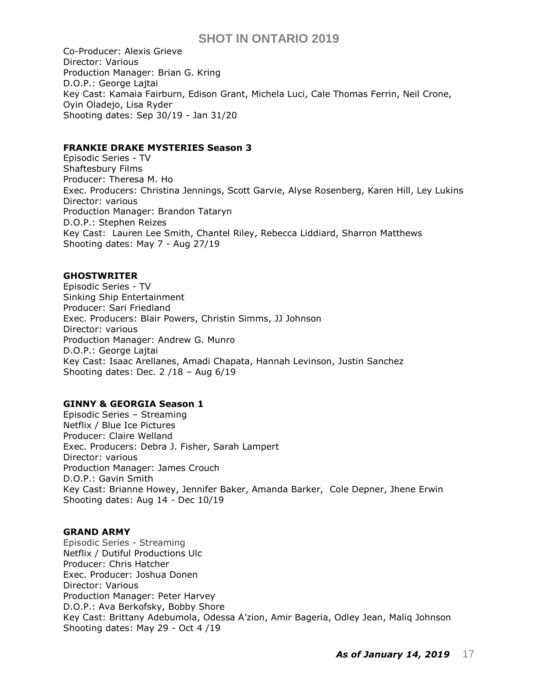Co-Producer: Alexis Grieve Director: Various Production Manager: Brian G. Kring D.O.P.: George Lajtai Key Cast: Kamaia Fairburn, Edison Grant, Michela Luci, Cale Thomas Ferrin, Neil Crone, Oyin Oladejo, Lisa Ryder Shooting dates: Sep 30/19 - Jan 31/20

### **FRANKIE DRAKE MYSTERIES Season 3**

Episodic Series - TV Shaftesbury Films Producer: Theresa M. Ho Exec. Producers: Christina Jennings, Scott Garvie, Alyse Rosenberg, Karen Hill, Ley Lukins Director: various Production Manager: Brandon Tataryn D.O.P.: Stephen Reizes Key Cast: Lauren Lee Smith, Chantel Riley, Rebecca Liddiard, Sharron Matthews Shooting dates: May 7 - Aug 27/19

### **GHOSTWRITER**

Episodic Series - TV Sinking Ship Entertainment Producer: Sari Friedland Exec. Producers: Blair Powers, Christin Simms, JJ Johnson Director: various Production Manager: Andrew G. Munro D.O.P.: George Lajtai Key Cast: [Isaac Arellanes,](https://www.imdb.com/name/nm9229178/?ref_=ttfc_fc_cl_t1) [Amadi Chapata,](https://www.imdb.com/name/nm11102124/?ref_=ttfc_fc_cl_t2) [Hannah Levinson,](https://www.imdb.com/name/nm6128175/?ref_=ttfc_fc_cl_t3) [Justin Sanchez](https://www.imdb.com/name/nm11102117/?ref_=ttfc_fc_cl_t4) Shooting dates: Dec. 2 /18 – Aug 6/19

#### **GINNY & GEORGIA Season 1**

Episodic Series – Streaming Netflix / Blue Ice Pictures Producer: Claire Welland Exec. Producers: Debra J. Fisher, Sarah Lampert Director: various Production Manager: James Crouch D.O.P.: Gavin Smith Key Cast: [Brianne Howey,](https://pro.imdb.com/name/nm3526370/) Jennifer Baker, [Amanda Barker,](https://pro.imdb.com/name/nm2144639/) [Cole Depner,](https://pro.imdb.com/name/nm9107331/) [Jhene Erwin](https://pro.imdb.com/name/nm0260007/) Shooting dates: Aug 14 - Dec 10/19

#### **GRAND ARMY**

Episodic Series - Streaming Netflix / Dutiful Productions Ulc Producer: Chris Hatcher Exec. Producer: Joshua Donen Director: Various Production Manager: Peter Harvey D.O.P.: Ava Berkofsky, Bobby Shore Key Cast: [Brittany Adebumola,](https://pro.imdb.com/name/nm10825112/) [Odessa A'zion](https://pro.imdb.com/name/nm5570560/), [Amir Bageria,](https://pro.imdb.com/name/nm7833020/) [Odley Jean,](https://pro.imdb.com/name/nm10794361/) [Maliq Johnson](https://pro.imdb.com/name/nm5658892/) Shooting dates: May 29 - Oct 4 /19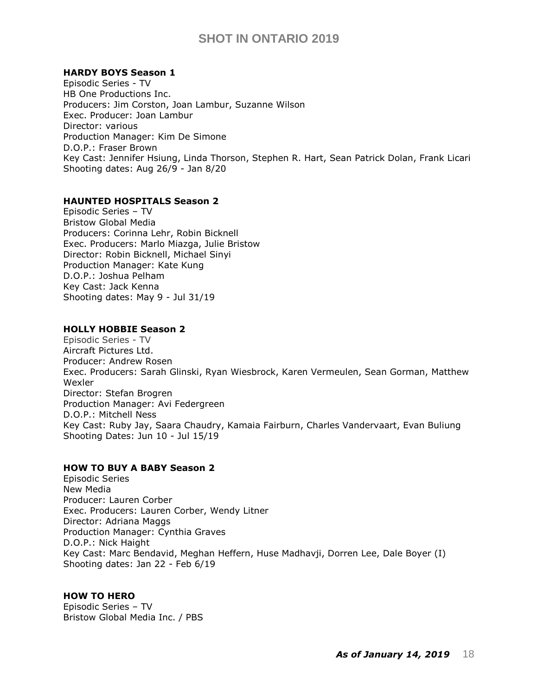### **HARDY BOYS Season 1**

Episodic Series - TV HB One Productions Inc. Producers: Jim Corston, Joan Lambur, Suzanne Wilson Exec. Producer: Joan Lambur Director: various Production Manager: Kim De Simone D.O.P.: Fraser Brown Key Cast: [Jennifer Hsiung,](https://pro.imdb.com/name/nm11060121/) [Linda Thorson,](https://pro.imdb.com/name/nm0861771/) [Stephen R. Hart,](https://pro.imdb.com/name/nm1242679/) [Sean Patrick Dolan,](https://pro.imdb.com/name/nm6122040/) [Frank Licari](https://pro.imdb.com/name/nm0508933/) Shooting dates: Aug 26/9 - Jan 8/20

#### **HAUNTED HOSPITALS Season 2**

Episodic Series – TV Bristow Global Media Producers: Corinna Lehr, Robin Bicknell Exec. Producers: Marlo Miazga, Julie Bristow Director: Robin Bicknell, Michael Sinyi Production Manager: Kate Kung D.O.P.: Joshua Pelham Key Cast: [Jack Kenna](https://pro.imdb.com/name/nm8317729/) Shooting dates: May 9 - Jul 31/19

### **HOLLY HOBBIE Season 2**

Episodic Series - TV Aircraft Pictures Ltd. Producer: Andrew Rosen Exec. Producers: Sarah Glinski, Ryan Wiesbrock, Karen Vermeulen, Sean Gorman, Matthew Wexler Director: Stefan Brogren Production Manager: Avi Federgreen D.O.P.: Mitchell Ness Key Cast: Ruby Jay, [Saara Chaudry,](https://pro.imdb.com/name/nm4740113/) [Kamaia Fairburn,](https://pro.imdb.com/name/nm6785305/) [Charles Vandervaart,](https://pro.imdb.com/name/nm3610327/) [Evan Buliung](https://pro.imdb.com/name/nm2420615/) Shooting Dates: Jun 10 - Jul 15/19

#### **HOW TO BUY A BABY Season 2**

Episodic Series New Media Producer: Lauren Corber Exec. Producers: [Lauren Corber,](https://pro.imdb.com/name/nm3991757/) [Wendy Litner](https://pro.imdb.com/name/nm8256424/) Director: Adriana Maggs Production Manager: Cynthia Graves D.O.P.: [Nick](https://pro.imdb.com/name/nm3400227/) Haight Key Cast: [Marc Bendavid,](https://pro.imdb.com/name/nm2544244/) [Meghan Heffern,](https://pro.imdb.com/name/nm1725322/) [Huse Madhavji,](https://pro.imdb.com/name/nm1455113/) [Dorren Lee,](https://pro.imdb.com/name/nm7727896/) [Dale Boyer \(I\)](https://pro.imdb.com/name/nm3400227/) Shooting dates: Jan 22 - Feb 6/19

#### **HOW TO HERO**

Episodic Series – TV Bristow Global Media Inc. / PBS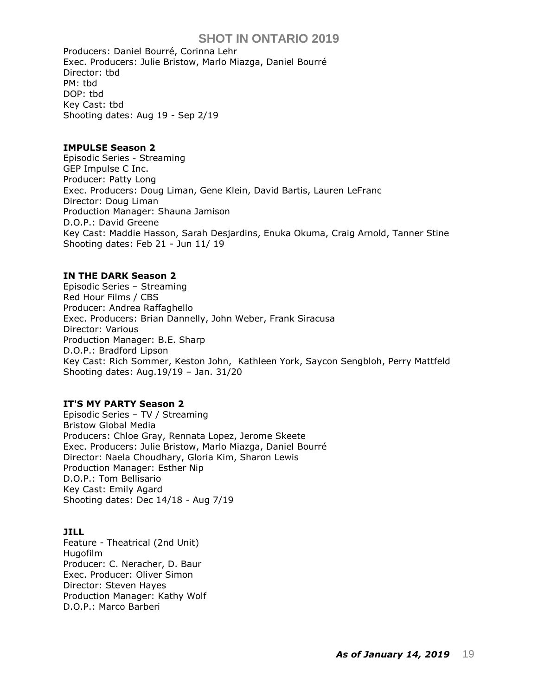Producers: Daniel Bourré, Corinna Lehr Exec. Producers: Julie Bristow, Marlo Miazga, Daniel Bourré Director: tbd PM: tbd DOP: tbd Key Cast: tbd Shooting dates: Aug 19 - Sep 2/19

### **IMPULSE Season 2**

Episodic Series - Streaming GEP Impulse C Inc. Producer: Patty Long Exec. Producers: Doug Liman, Gene Klein, David Bartis, Lauren LeFranc Director: Doug Liman Production Manager: Shauna Jamison D.O.P.: David Greene Key Cast: Maddie Hasson, Sarah Desjardins, Enuka Okuma, Craig Arnold, Tanner Stine Shooting dates: Feb 21 - Jun 11/ 19

### **IN THE DARK Season 2**

Episodic Series – Streaming Red Hour Films / CBS Producer: [Andrea Raffaghello](https://pro.imdb.com/name/nm0706228/) Exec. Producers: Brian Dannelly, John Weber, Frank Siracusa Director: Various Production Manager: B.E. Sharp D.O.P.: Bradford Lipson Key Cast: [Rich Sommer,](https://pro.imdb.com/name/nm1360860/) [Keston John,](https://pro.imdb.com/name/nm1929609/) [Kathleen York,](https://pro.imdb.com/name/nm0948723/) [Saycon Sengbloh,](https://pro.imdb.com/name/nm0784255/) [Perry Mattfeld](https://pro.imdb.com/name/nm3018183/) Shooting dates: Aug.19/19 – Jan. 31/20

### **IT'S MY PARTY Season 2**

Episodic Series – TV / Streaming Bristow Global Media Producers: Chloe Gray, Rennata Lopez, Jerome Skeete Exec. Producers: Julie Bristow, Marlo Miazga, Daniel Bourré Director: Naela Choudhary, Gloria Kim, Sharon Lewis Production Manager: Esther Nip D.O.P.: Tom Bellisario Key Cast: [Emily Agard](https://pro.imdb.com/name/nm7636244/) Shooting dates: Dec 14/18 - Aug 7/19

### **JILL**

Feature - Theatrical (2nd Unit) Hugofilm Producer: C. Neracher, D. Baur Exec. Producer: Oliver Simon Director: Steven Hayes Production Manager: Kathy Wolf D.O.P.: [Marco Barberi](https://pro.imdb.com/name/nm0053510/)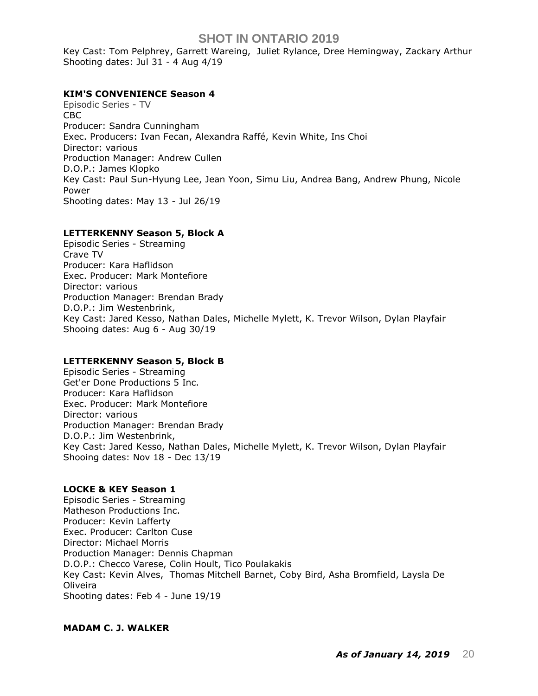Key Cast: [Tom Pelphrey,](https://pro.imdb.com/name/nm1670601/) [Garrett Wareing,](https://pro.imdb.com/name/nm6136318/) [Juliet Rylance,](https://pro.imdb.com/name/nm1628115/) [Dree Hemingway,](https://pro.imdb.com/name/nm2218604/) [Zackary Arthur](https://pro.imdb.com/name/nm6236879/) Shooting dates: Jul 31 - 4 Aug 4/19

## **KIM'S CONVENIENCE Season 4**

Episodic Series - TV CBC Producer: Sandra Cunningham Exec. Producers: Ivan Fecan, Alexandra Raffé, Kevin White, Ins Choi Director: various Production Manager: Andrew Cullen D.O.P.: James Klopko Key Cast: Paul Sun-Hyung Lee, Jean Yoon, Simu Liu, Andrea Bang, Andrew Phung, Nicole Power Shooting dates: May 13 - Jul 26/19

## **LETTERKENNY Season 5, Block A**

Episodic Series - Streaming Crave TV Producer: Kara Haflidson Exec. Producer: Mark Montefiore Director: various Production Manager: Brendan Brady D.O.P.: Jim Westenbrink, Key Cast: Jared Kesso, Nathan Dales, [Michelle Mylett,](https://pro.imdb.com/name/nm5572919/) K. Trevor Wilson, Dylan Playfair Shooing dates: Aug 6 - Aug 30/19

### **LETTERKENNY Season 5, Block B**

Episodic Series - Streaming Get'er Done Productions 5 Inc. Producer: Kara Haflidson Exec. Producer: Mark Montefiore Director: various Production Manager: Brendan Brady D.O.P.: Jim Westenbrink, Key Cast: Jared Kesso, Nathan Dales, [Michelle Mylett,](https://pro.imdb.com/name/nm5572919/) K. Trevor Wilson, Dylan Playfair Shooing dates: Nov 18 - Dec 13/19

## **LOCKE & KEY Season 1**

Episodic Series - Streaming Matheson Productions Inc. Producer: Kevin Lafferty Exec. Producer: Carlton Cuse Director: Michael Morris Production Manager: Dennis Chapman D.O.P.: Checco Varese, Colin Hoult, [Tico Poulakakis](https://pro.imdb.com/name/nm0693580/) Key Cast: [Kevin Alves,](https://pro.imdb.com/name/nm2795862/) [Thomas Mitchell Barnet,](https://pro.imdb.com/name/nm8640848/) Coby Bird, [Asha Bromfield,](https://pro.imdb.com/name/nm4329459/) [Laysla De](https://pro.imdb.com/name/nm5315658/)  [Oliveira](https://pro.imdb.com/name/nm5315658/) Shooting dates: Feb 4 - June 19/19

### **MADAM C. J. WALKER**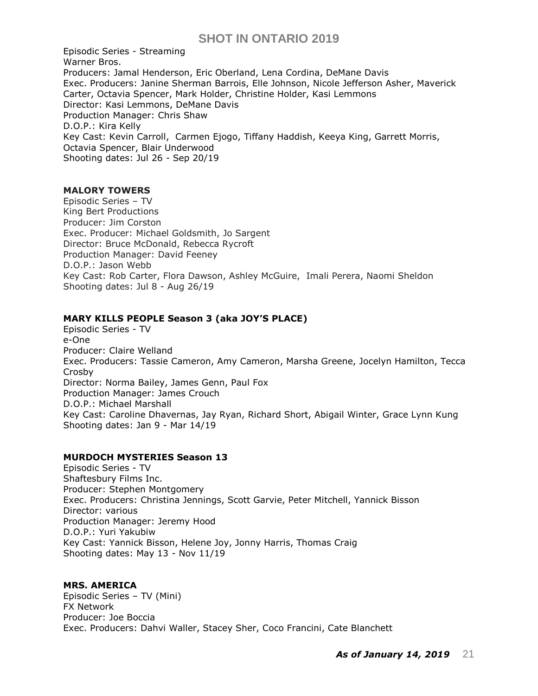Episodic Series - Streaming Warner Bros. Producers: Jamal Henderson, Eric Oberland, Lena Cordina, DeMane Davis Exec. Producers: Janine Sherman Barrois, Elle Johnson, Nicole Jefferson Asher, Maverick Carter, Octavia Spencer, Mark Holder, Christine Holder, Kasi Lemmons Director: Kasi Lemmons, DeMane Davis Production Manager: Chris Shaw D.O.P.: Kira Kelly Key Cast: [Kevin Carroll,](https://pro.imdb.com/name/nm0140887/) [Carmen Ejogo,](https://pro.imdb.com/name/nm0252238/) [Tiffany Haddish,](https://pro.imdb.com/name/nm1840504/) [Keeya King,](https://pro.imdb.com/name/nm5756178/) [Garrett Morris,](https://pro.imdb.com/name/nm0606541/) [Octavia Spencer,](https://pro.imdb.com/name/nm0818055/) Blair Underwood Shooting dates: Jul 26 - Sep 20/19

### **MALORY TOWERS**

Episodic Series – TV [King Bert Productions](https://pro.imdb.com/company/co0619494/?ref_=tt_co_prod_co) Producer: Jim Corston Exec. Producer: Michael Goldsmith, Jo Sargent Director: Bruce McDonald, Rebecca Rycroft Production Manager: David Feeney D.O.P.: Jason Webb Key Cast: Rob Carter, Flora Dawson, [Ashley McGuire,](https://pro.imdb.com/name/nm1371443/) [Imali Perera,](https://pro.imdb.com/name/nm1335292/) [Naomi Sheldon](https://pro.imdb.com/name/nm4838491/) Shooting dates: Jul 8 - Aug 26/19

## **MARY KILLS PEOPLE Season 3 (aka JOY'S PLACE)**

Episodic Series - TV e-One Producer: Claire Welland Exec. Producers: Tassie Cameron, Amy Cameron, Marsha Greene, Jocelyn Hamilton, Tecca Crosby Director: Norma Bailey, James Genn, Paul Fox Production Manager: James Crouch D.O.P.: Michael Marshall Key Cast: Caroline Dhavernas, Jay Ryan, Richard Short, Abigail Winter, Grace Lynn Kung Shooting dates: Jan 9 - Mar 14/19

### **MURDOCH MYSTERIES Season 13**

Episodic Series - TV Shaftesbury Films Inc. Producer: Stephen Montgomery Exec. Producers: Christina Jennings, Scott Garvie, Peter Mitchell, Yannick Bisson Director: various Production Manager: Jeremy Hood D.O.P.: Yuri Yakubiw Key Cast: Yannick Bisson, Helene Joy, Jonny Harris, Thomas Craig Shooting dates: May 13 - Nov 11/19

### **MRS. AMERICA**

Episodic Series – TV (Mini) FX Network Producer: Joe Boccia Exec. Producers: Dahvi Waller, Stacey Sher, Coco Francini, Cate Blanchett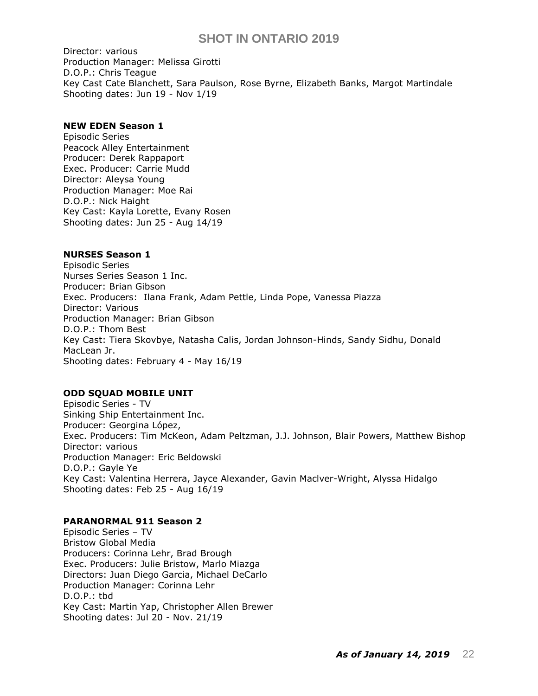Director: various Production Manager: Melissa Girotti D.O.P.: [Chris Teague](https://pro.imdb.com/name/nm1627409/) Key Cast Cate Blanchett, Sara Paulson, Rose Byrne, Elizabeth Banks, Margot Martindale Shooting dates: Jun 19 - Nov 1/19

### **NEW EDEN Season 1**

Episodic Series Peacock Alley Entertainment Producer: Derek Rappaport Exec. Producer: Carrie Mudd Director: Aleysa Young Production Manager: Moe Rai D.O.P.: Nick Haight Key Cast: Kayla Lorette, Evany Rosen Shooting dates: Jun 25 - Aug 14/19

#### **NURSES Season 1**

Episodic Series Nurses Series Season 1 Inc. Producer: Brian Gibson Exec. Producers: Ilana Frank, Adam Pettle, Linda Pope, Vanessa Piazza Director: Various Production Manager: Brian Gibson D.O.P.: Thom Best Key Cast: [Tiera Skovbye,](https://pro.imdb.com/name/nm1975050/) [Natasha Calis,](https://pro.imdb.com/name/nm2828435/) [Jordan Johnson-Hinds,](https://pro.imdb.com/name/nm3045861/) [Sandy Sidhu,](https://pro.imdb.com/name/nm3637261/) [Donald](https://pro.imdb.com/name/nm10021823/)  [MacLean Jr.](https://pro.imdb.com/name/nm10021823/) Shooting dates: February 4 - May 16/19

## **ODD SQUAD MOBILE UNIT**

Episodic Series - TV Sinking Ship Entertainment Inc. Producer: [Georgina López,](https://pro.imdb.com/name/nm2049016/)  Exec. Producers: Tim McKeon, Adam Peltzman, J.J. Johnson, Blair Powers, Matthew Bishop Director: various Production Manager: Eric Beldowski D.O.P.: Gayle Ye Key Cast: Valentina Herrera, Jayce Alexander, Gavin Maclver-Wright, Alyssa Hidalgo Shooting dates: Feb 25 - Aug 16/19

#### **PARANORMAL 911 Season 2**

Episodic Series – TV Bristow Global Media Producers: Corinna Lehr, Brad Brough Exec. Producers: Julie Bristow, Marlo Miazga Directors: [Juan Diego Garcia, Michael DeCarlo](https://pro.imdb.com/name/nm10715040/) Production Manager: Corinna Lehr D.O.P.: tbd Key Cast: Martin Yap, [Christopher Allen Brewer](https://pro.imdb.com/name/nm10313079/) Shooting dates: Jul 20 - Nov. 21/19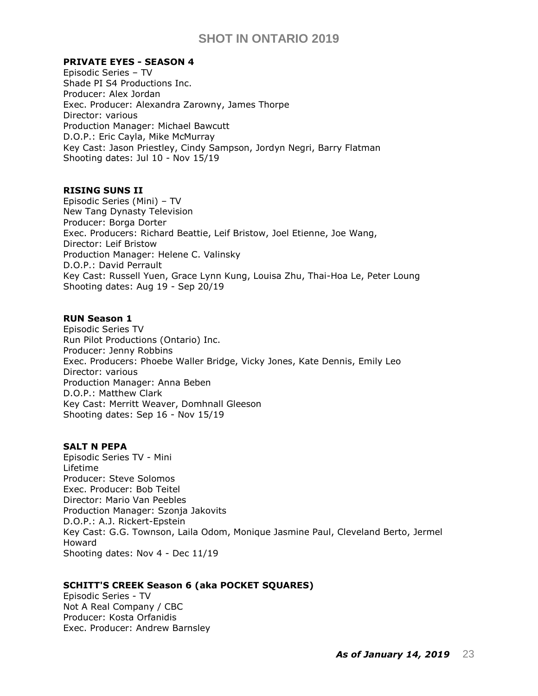### **PRIVATE EYES - SEASON 4**

Episodic Series – TV Shade PI S4 Productions Inc. Producer: Alex Jordan Exec. Producer: Alexandra Zarowny, James Thorpe Director: various Production Manager: Michael Bawcutt D.O.P.: Eric Cayla, Mike McMurray Key Cast: Jason Priestley, Cindy Sampson, Jordyn Negri, Barry Flatman Shooting dates: Jul 10 - Nov 15/19

#### **RISING SUNS II**

Episodic Series (Mini) – TV New Tang Dynasty Television Producer: Borga Dorter Exec. Producers: Richard Beattie, Leif Bristow, [Joel Etienne,](https://pro.imdb.com/name/nm9044816/) Joe Wang, Director: Leif Bristow Production Manager: Helene C. Valinsky D.O.P.: David Perrault Key Cast: [Russell Yuen,](https://pro.imdb.com/name/nm0004067/) [Grace Lynn Kung,](https://pro.imdb.com/name/nm0475129/) [Louisa Zhu,](https://pro.imdb.com/name/nm6265805/) [Thai-Hoa Le,](https://pro.imdb.com/name/nm0494716/) [Peter Loung](https://pro.imdb.com/name/nm0522014/) Shooting dates: Aug 19 - Sep 20/19

### **RUN Season 1**

Episodic Series TV Run Pilot Productions (Ontario) Inc. Producer: Jenny Robbins Exec. Producers: Phoebe Waller Bridge, Vicky Jones, Kate Dennis, Emily Leo Director: various Production Manager: Anna Beben D.O.P.: Matthew Clark Key Cast: Merritt Weaver, Domhnall Gleeson Shooting dates: Sep 16 - Nov 15/19

### **SALT N PEPA**

Episodic Series TV - Mini Lifetime Producer: Steve Solomos Exec. Producer: Bob Teitel Director: Mario Van Peebles Production Manager: Szonja Jakovits D.O.P.: A.J. Rickert-Epstein Key Cast: [G.G. Townson,](https://pro.imdb.com/name/nm1719464/) [Laila Odom,](https://pro.imdb.com/name/nm2796490/) [Monique Jasmine Paul,](https://pro.imdb.com/name/nm11113292/) [Cleveland Berto,](https://pro.imdb.com/name/nm3811344/) [Jermel](https://pro.imdb.com/name/nm2563057/)  [Howard](https://pro.imdb.com/name/nm2563057/) Shooting dates: Nov 4 - Dec 11/19

### **SCHITT'S CREEK Season 6 (aka POCKET SQUARES)**

Episodic Series - TV Not A Real Company / CBC Producer: Kosta Orfanidis Exec. Producer: Andrew Barnsley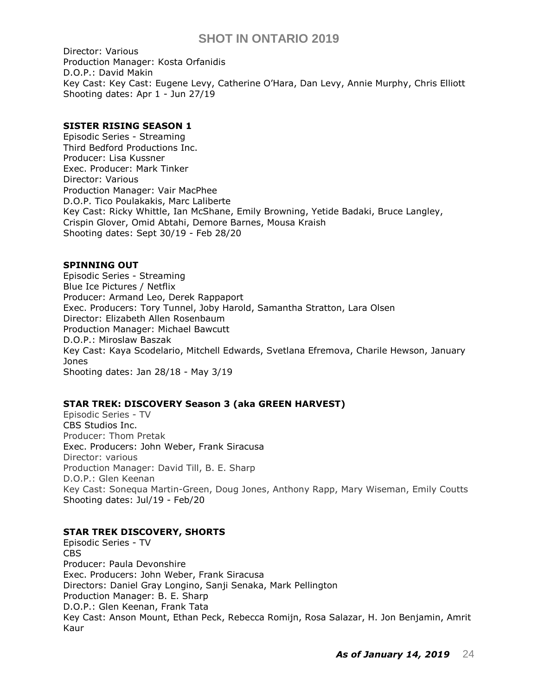Director: Various Production Manager: Kosta Orfanidis D.O.P.: David Makin Key Cast: Key Cast: Eugene Levy, Catherine O'Hara, Dan Levy, Annie Murphy, Chris Elliott Shooting dates: Apr 1 - Jun 27/19

### **SISTER RISING SEASON 1**

Episodic Series - Streaming Third Bedford Productions Inc. Producer: Lisa Kussner Exec. Producer: Mark Tinker Director: Various Production Manager: Vair MacPhee D.O.P. Tico Poulakakis, Marc Laliberte Key Cast: Ricky Whittle, Ian McShane, Emily Browning, Yetide Badaki, Bruce Langley, Crispin Glover, Omid Abtahi, Demore Barnes, Mousa Kraish Shooting dates: Sept 30/19 - Feb 28/20

#### **SPINNING OUT**

Episodic Series - Streaming Blue Ice Pictures / Netflix Producer: Armand Leo, Derek Rappaport Exec. Producers: Tory Tunnel, Joby Harold, Samantha Stratton, Lara Olsen Director: Elizabeth Allen Rosenbaum Production Manager: Michael Bawcutt D.O.P.: Miroslaw Baszak Key Cast: [Kaya Scodelario,](https://pro.imdb.com/name/nm2546012/) Mitchell Edwards, [Svetlana Efremova,](https://pro.imdb.com/name/nm0250610/) Charile Hewson, January Jones Shooting dates: Jan 28/18 - May 3/19

### **STAR TREK: DISCOVERY Season 3 (aka GREEN HARVEST)**

Episodic Series - TV CBS Studios Inc. Producer: Thom Pretak Exec. Producers: John Weber, Frank Siracusa Director: various Production Manager: David Till, B. E. Sharp D.O.P.: Glen Keenan Key Cast: [Sonequa Martin-Green,](https://pro.imdb.com/name/nm2792296/) [Doug Jones, Anthony Rapp, Mary Wiseman, Emily Coutts](https://pro.imdb.com/name/nm0427964/) Shooting dates: Jul/19 - Feb/20

### **STAR TREK DISCOVERY, SHORTS**

Episodic Series - TV CBS Producer: Paula Devonshire Exec. Producers: John Weber, Frank Siracusa Directors: Daniel Gray Longino, Sanji Senaka, Mark Pellington Production Manager: B. E. Sharp D.O.P.: Glen Keenan, Frank Tata Key Cast: Anson Mount, Ethan Peck, Rebecca Romijn, Rosa Salazar, H. Jon Benjamin, Amrit Kaur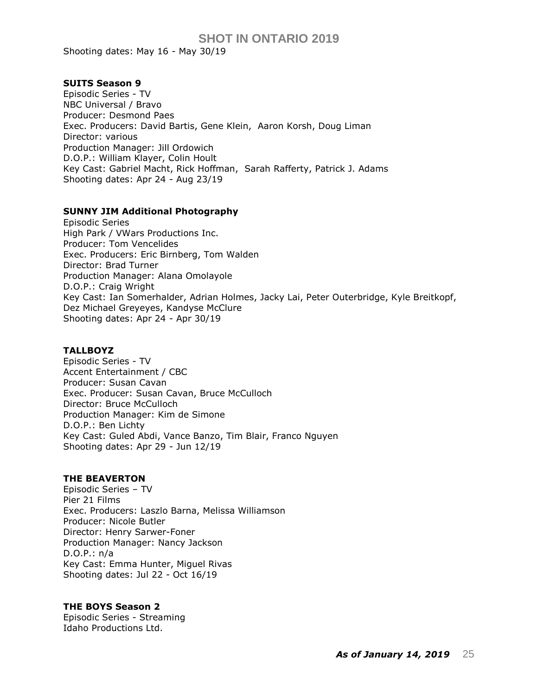Shooting dates: May 16 - May 30/19

#### **SUITS Season 9**

Episodic Series - TV NBC Universal / Bravo Producer: Desmond Paes Exec. Producers: [David Bartis,](https://pro.imdb.com/name/nm1378004/) [Gene Klein,](https://pro.imdb.com/name/nm2041001/) [Aaron Korsh,](https://pro.imdb.com/name/nm0466689/) [Doug Liman](https://pro.imdb.com/name/nm0510731/) Director: various Production Manager: Jill Ordowich D.O.P.: [William Klayer,](https://pro.imdb.com/name/nm0458473/) Colin Hoult Key Cast: [Gabriel Macht,](https://pro.imdb.com/name/nm0532683/) [Rick Hoffman,](https://pro.imdb.com/name/nm0389069/) [Sarah Rafferty,](https://pro.imdb.com/name/nm1423048/) Patrick J. Adams Shooting dates: Apr 24 - Aug 23/19

#### **SUNNY JIM Additional Photography**

Episodic Series High Park / VWars Productions Inc. Producer: Tom Vencelides Exec. Producers: Eric Birnberg, Tom Walden Director: Brad Turner Production Manager: Alana Omolayole D.O.P.: Craig Wright Key Cast: Ian Somerhalder, Adrian Holmes, Jacky Lai, Peter Outerbridge, Kyle Breitkopf, Dez Michael Greyeyes, Kandyse McClure Shooting dates: Apr 24 - Apr 30/19

### **TALLBOYZ**

Episodic Series - TV Accent Entertainment / CBC Producer: Susan Cavan Exec. Producer: Susan Cavan, Bruce McCulloch Director: Bruce McCulloch Production Manager: Kim de Simone D.O.P.: Ben Lichty Key Cast: [Guled Abdi,](https://pro.imdb.com/name/nm10474740/) [Vance Banzo,](https://pro.imdb.com/name/nm8702932/) Tim Blair, [Franco Nguyen](https://pro.imdb.com/name/nm3816689/) Shooting dates: Apr 29 - Jun 12/19

#### **THE BEAVERTON**

Episodic Series – TV Pier 21 Films Exec. Producers: Laszlo Barna, Melissa Williamson Producer: Nicole Butler Director: Henry Sarwer-Foner Production Manager: Nancy Jackson D.O.P.: n/a Key Cast: Emma Hunter, Miguel Rivas Shooting dates: Jul 22 - Oct 16/19

### **THE BOYS Season 2**

Episodic Series - Streaming Idaho Productions Ltd.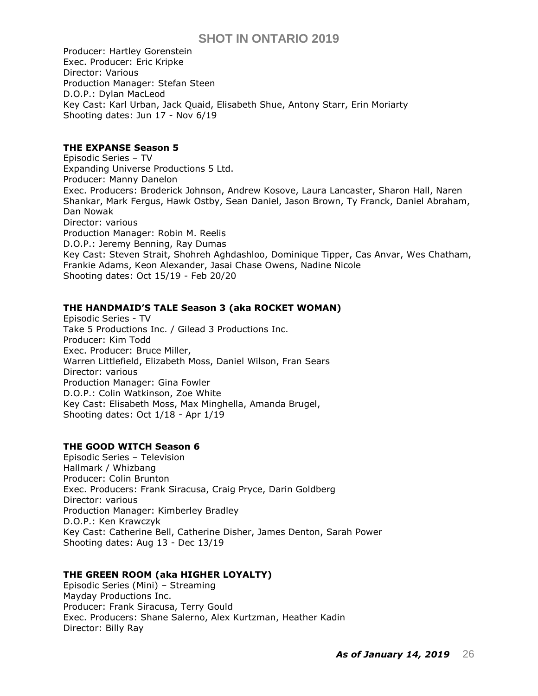Producer: Hartley Gorenstein Exec. Producer: Eric Kripke Director: Various Production Manager: Stefan Steen D.O.P.: Dylan MacLeod Key Cast: Karl Urban, Jack Quaid, Elisabeth Shue, Antony Starr, Erin Moriarty Shooting dates: Jun 17 - Nov 6/19

## **THE EXPANSE Season 5**

Episodic Series – TV Expanding Universe Productions 5 Ltd. Producer: Manny Danelon Exec. Producers: Broderick Johnson, Andrew Kosove, Laura Lancaster, Sharon Hall, Naren Shankar, Mark Fergus, Hawk Ostby, Sean Daniel, Jason Brown, Ty Franck, Daniel Abraham, Dan Nowak Director: various Production Manager: Robin M. Reelis D.O.P.: Jeremy Benning, Ray Dumas Key Cast: Steven Strait, Shohreh Aghdashloo, Dominique Tipper, Cas Anvar, Wes Chatham, Frankie Adams, Keon Alexander, Jasai Chase Owens, Nadine Nicole Shooting dates: Oct 15/19 - Feb 20/20

### **THE HANDMAID'S TALE Season 3 (aka ROCKET WOMAN)**

Episodic Series - TV Take 5 Productions Inc. / Gilead 3 Productions Inc. Producer: Kim Todd Exec. Producer: Bruce Miller, Warren Littlefield, Elizabeth Moss, Daniel Wilson, Fran Sears Director: various Production Manager: Gina Fowler D.O.P.: Colin Watkinson, Zoe White Key Cast: Elisabeth Moss, [Max Minghella,](https://pro.imdb.com/name/nm1540404/) [Amanda Brugel,](https://pro.imdb.com/name/nm0115760/) Shooting dates: Oct 1/18 - Apr 1/19

## **THE GOOD WITCH Season 6**

Episodic Series – Television Hallmark / Whizbang Producer: Colin Brunton Exec. Producers: Frank Siracusa, Craig Pryce, Darin Goldberg Director: various Production Manager: Kimberley Bradley D.O.P.: Ken Krawczyk Key Cast: Catherine Bell, Catherine Disher, James Denton, Sarah Power Shooting dates: Aug 13 - Dec 13/19

## **THE GREEN ROOM (aka HIGHER LOYALTY)**

Episodic Series (Mini) – Streaming Mayday Productions Inc. Producer: Frank Siracusa, Terry Gould Exec. Producers: Shane Salerno, Alex Kurtzman, Heather Kadin Director: Billy Ray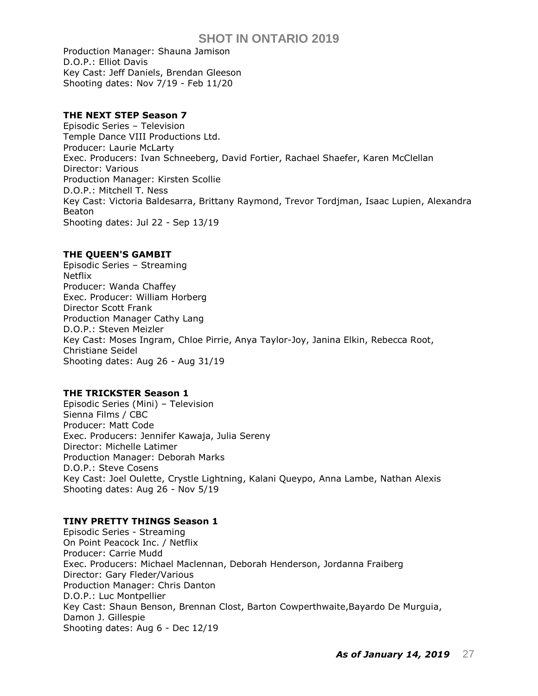Production Manager: Shauna Jamison D.O.P.: Elliot Davis Key Cast: Jeff Daniels, Brendan Gleeson Shooting dates: Nov 7/19 - Feb 11/20

## **THE NEXT STEP Season 7**

Episodic Series – Television Temple Dance VIII Productions Ltd. Producer: Laurie McLarty Exec. Producers: Ivan Schneeberg, David Fortier, Rachael Shaefer, Karen McClellan Director: Various Production Manager: Kirsten Scollie D.O.P.: Mitchell T. Ness Key Cast: [Victoria Baldesarra,](https://pro.imdb.com/name/nm5249795/) [Brittany Raymond,](https://pro.imdb.com/name/nm5250845/) [Trevor Tordjman,](https://pro.imdb.com/name/nm5251583/) [Isaac Lupien,](https://pro.imdb.com/name/nm2786789/) [Alexandra](https://pro.imdb.com/name/nm2542118/)  [Beaton](https://pro.imdb.com/name/nm2542118/) Shooting dates: Jul 22 - Sep 13/19

### **THE QUEEN'S GAMBIT**

Episodic Series – Streaming Netflix Producer: Wanda Chaffey Exec. Producer: William Horberg Director Scott Frank Production Manager Cathy Lang D.O.P.: Steven Meizler Key Cast: Moses Ingram, [Chloe Pirrie,](https://pro.imdb.com/name/nm4006608/) [Anya Taylor-Joy,](https://pro.imdb.com/name/nm5896355/) [Janina Elkin,](https://pro.imdb.com/name/nm2276542/) [Rebecca Root,](https://pro.imdb.com/name/nm2340289/) [Christiane Seidel](https://pro.imdb.com/name/nm2554097/) Shooting dates: Aug 26 - Aug 31/19

### **THE TRICKSTER Season 1**

Episodic Series (Mini) – Television Sienna Films / CBC Producer: Matt Code Exec. Producers: Jennifer Kawaja, Julia Sereny Director: Michelle Latimer Production Manager: Deborah Marks D.O.P.: Steve Cosens Key Cast: [Joel Oulette,](https://pro.imdb.com/name/nm10126652/) [Crystle Lightning,](https://pro.imdb.com/name/nm0510021/) [Kalani Queypo,](https://pro.imdb.com/name/nm0703398/) [Anna Lambe,](https://pro.imdb.com/name/nm9268179/) [Nathan Alexis](https://pro.imdb.com/name/nm5367630/) Shooting dates: Aug 26 - Nov 5/19

### **TINY PRETTY THINGS Season 1**

Episodic Series - Streaming On Point Peacock Inc. / Netflix Producer: Carrie Mudd Exec. Producers: Michael Maclennan, Deborah Henderson, Jordanna Fraiberg Director: Gary Fleder/Various Production Manager: Chris Danton D.O.P.: Luc Montpellier Key Cast: Shaun Benson, Brennan Clost, Barton [Cowperthwaite,Bayardo De Murguia,](https://pro.imdb.com/name/nm0072648/)  [Damon J. Gillespie](https://pro.imdb.com/name/nm0072648/) Shooting dates: Aug 6 - Dec 12/19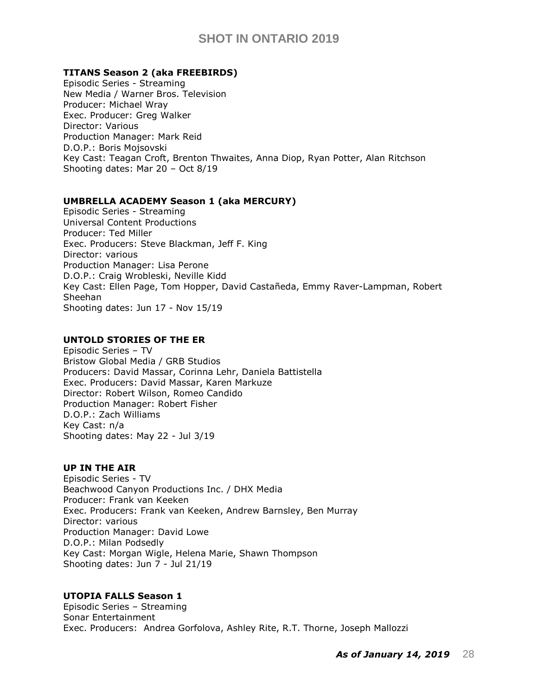### **TITANS Season 2 (aka FREEBIRDS)**

Episodic Series - Streaming New Media / Warner Bros. Television Producer: Michael Wray Exec. Producer: Greg Walker Director: Various Production Manager: Mark Reid D.O.P.: Boris Mojsovski Key Cast: [Teagan Croft,](https://pro.imdb.com/name/nm7509279/) Brenton Thwaites, Anna Diop, Ryan Potter, Alan Ritchson Shooting dates: Mar 20 – Oct 8/19

### **UMBRELLA ACADEMY Season 1 (aka MERCURY)**

Episodic Series - Streaming Universal Content Productions Producer: Ted Miller Exec. Producers: Steve Blackman, Jeff F. King Director: various Production Manager: Lisa Perone D.O.P.: Craig Wrobleski, Neville Kidd Key Cast: Ellen Page, Tom Hopper, [David Castañeda, Emmy Raver-Lampman, Robert](https://pro.imdb.com/name/nm3244078/)  [Sheehan](https://pro.imdb.com/name/nm3244078/) Shooting dates: Jun 17 - Nov 15/19

### **UNTOLD STORIES OF THE ER**

Episodic Series – TV Bristow Global Media / GRB Studios Producers: David Massar, Corinna Lehr, Daniela Battistella Exec. Producers: David Massar, Karen Markuze Director: Robert Wilson, Romeo Candido Production Manager: Robert Fisher D.O.P.: Zach Williams Key Cast: n/a Shooting dates: May 22 - Jul 3/19

### **UP IN THE AIR**

Episodic Series - TV Beachwood Canyon Productions Inc. / DHX Media Producer: Frank van Keeken Exec. Producers: Frank van Keeken, Andrew Barnsley, Ben Murray Director: various Production Manager: David Lowe D.O.P.: Milan Podsedly Key Cast: Morgan Wigle, Helena Marie, Shawn Thompson Shooting dates: Jun 7 - Jul 21/19

## **UTOPIA FALLS Season 1**

Episodic Series – Streaming Sonar Entertainment Exec. Producers: Andrea Gorfolova, Ashley Rite, R.T. Thorne, Joseph Mallozzi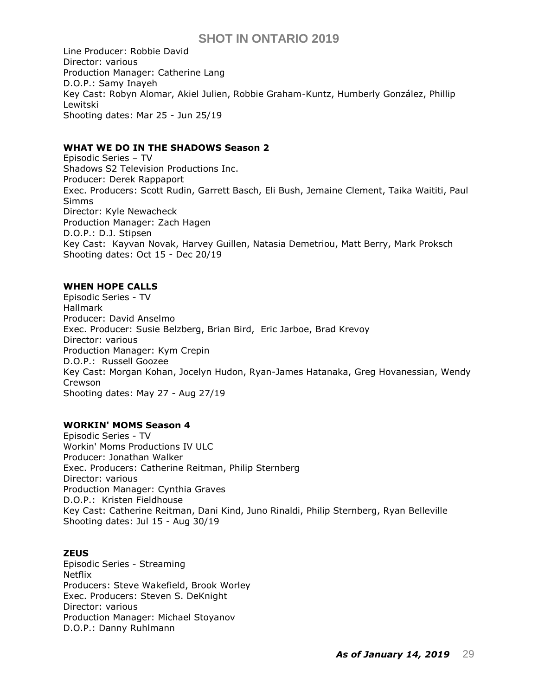Line Producer: Robbie David Director: various Production Manager: Catherine Lang D.O.P.: Samy Inayeh Key Cast: Robyn Alomar, Akiel Julien, Robbie Graham-Kuntz, Humberly González, Phillip Lewitski Shooting dates: Mar 25 - Jun 25/19

## **WHAT WE DO IN THE SHADOWS Season 2**

Episodic Series – TV Shadows S2 Television Productions Inc. Producer: Derek Rappaport Exec. Producers: Scott Rudin, Garrett Basch, Eli Bush, Jemaine Clement, Taika Waititi, Paul Simms Director: Kyle Newacheck Production Manager: Zach Hagen D.O.P.: D.J. Stipsen Key Cast: Kayvan Novak, Harvey Guillen, Natasia Demetriou, Matt Berry, Mark Proksch Shooting dates: Oct 15 - Dec 20/19

## **WHEN HOPE CALLS**

Episodic Series - TV Hallmark Producer: David Anselmo Exec. Producer: [Susie Belzberg,](https://pro.imdb.com/name/nm7314093/) [Brian Bird,](https://pro.imdb.com/name/nm0083349/) Eric Jarboe, [Brad Krevoy](https://pro.imdb.com/name/nm0471097/) Director: various Production Manager: Kym Crepin D.O.P.: Russell Goozee Key Cast: [Morgan Kohan,](https://pro.imdb.com/name/nm6974139/) [Jocelyn Hudon, Ryan-James Hatanaka, Greg Hovanessian, Wendy](https://pro.imdb.com/name/nm6749397/)  [Crewson](https://pro.imdb.com/name/nm6749397/) Shooting dates: May 27 - Aug 27/19

## **WORKIN' MOMS Season 4**

Episodic Series - TV Workin' Moms Productions IV ULC Producer: Jonathan Walker Exec. Producers: Catherine Reitman, Philip Sternberg Director: various Production Manager: Cynthia Graves D.O.P.: Kristen Fieldhouse Key Cast: [Catherine Reitman,](https://pro.imdb.com/name/nm0718642/) [Dani Kind,](https://pro.imdb.com/name/nm1595023/) [Juno Rinaldi, Philip Sternberg, Ryan Belleville](https://pro.imdb.com/name/nm0748634/) Shooting dates: Jul 15 - Aug 30/19

### **ZEUS**

Episodic Series - Streaming Netflix Producers: Steve Wakefield, Brook Worley Exec. Producers: Steven S. DeKnight Director: various Production Manager: Michael Stoyanov D.O.P.: Danny Ruhlmann